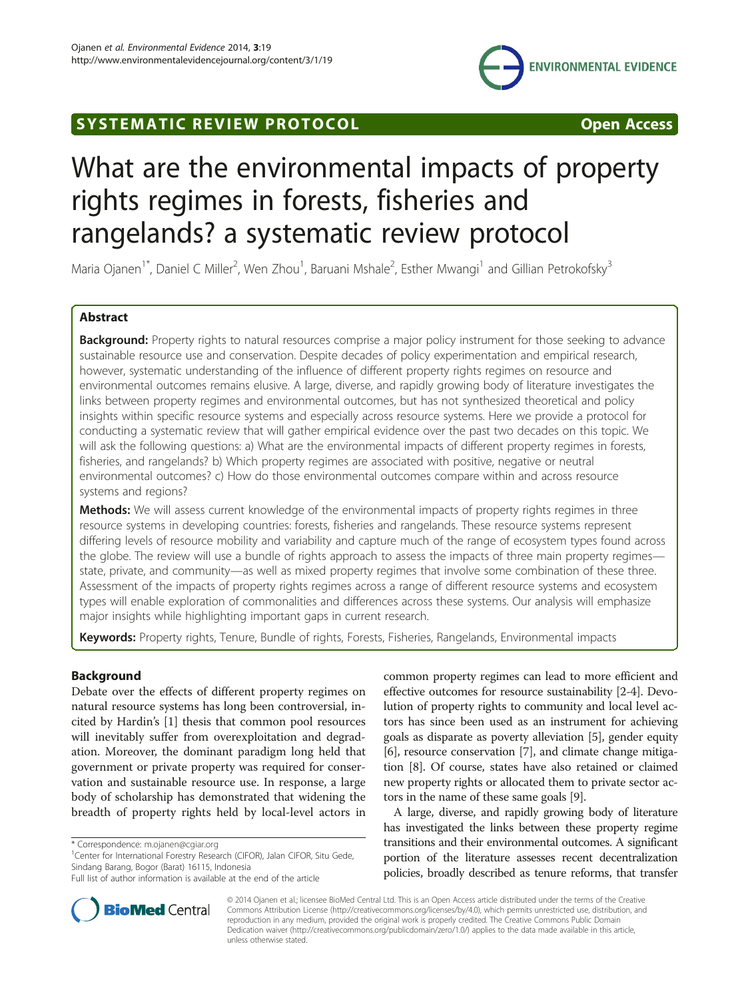# SYSTEMATIC REVIEW PROTOCOL **CONTROL** CONTROL CONTROL CONTROL CONTROL CONTROL CONTROL CONTROL CONTROL CONTROL CONTROL CONTROL CONTROL CONTROL CONTROL CONTROL CONTROL CONTROL CONTROL CONTROL CONTROL CONTROL CONTROL CONTROL C



# What are the environmental impacts of property rights regimes in forests, fisheries and rangelands? a systematic review protocol

Maria Ojanen<sup>1\*</sup>, Daniel C Miller<sup>2</sup>, Wen Zhou<sup>1</sup>, Baruani Mshale<sup>2</sup>, Esther Mwangi<sup>1</sup> and Gillian Petrokofsky<sup>3</sup>

# Abstract

Background: Property rights to natural resources comprise a major policy instrument for those seeking to advance sustainable resource use and conservation. Despite decades of policy experimentation and empirical research, however, systematic understanding of the influence of different property rights regimes on resource and environmental outcomes remains elusive. A large, diverse, and rapidly growing body of literature investigates the links between property regimes and environmental outcomes, but has not synthesized theoretical and policy insights within specific resource systems and especially across resource systems. Here we provide a protocol for conducting a systematic review that will gather empirical evidence over the past two decades on this topic. We will ask the following questions: a) What are the environmental impacts of different property regimes in forests, fisheries, and rangelands? b) Which property regimes are associated with positive, negative or neutral environmental outcomes? c) How do those environmental outcomes compare within and across resource systems and regions?

Methods: We will assess current knowledge of the environmental impacts of property rights regimes in three resource systems in developing countries: forests, fisheries and rangelands. These resource systems represent differing levels of resource mobility and variability and capture much of the range of ecosystem types found across the globe. The review will use a bundle of rights approach to assess the impacts of three main property regimes state, private, and community—as well as mixed property regimes that involve some combination of these three. Assessment of the impacts of property rights regimes across a range of different resource systems and ecosystem types will enable exploration of commonalities and differences across these systems. Our analysis will emphasize major insights while highlighting important gaps in current research.

Keywords: Property rights, Tenure, Bundle of rights, Forests, Fisheries, Rangelands, Environmental impacts

# Background

Debate over the effects of different property regimes on natural resource systems has long been controversial, incited by Hardin's [\[1](#page-15-0)] thesis that common pool resources will inevitably suffer from overexploitation and degradation. Moreover, the dominant paradigm long held that government or private property was required for conservation and sustainable resource use. In response, a large body of scholarship has demonstrated that widening the breadth of property rights held by local-level actors in

\* Correspondence: [m.ojanen@cgiar.org](mailto:m.ojanen@cgiar.org) <sup>1</sup>

<sup>1</sup>Center for International Forestry Research (CIFOR), Jalan CIFOR, Situ Gede, Sindang Barang, Bogor (Barat) 16115, Indonesia

common property regimes can lead to more efficient and effective outcomes for resource sustainability [[2-4\]](#page-15-0). Devolution of property rights to community and local level actors has since been used as an instrument for achieving goals as disparate as poverty alleviation [\[5](#page-15-0)], gender equity [[6\]](#page-15-0), resource conservation [[7](#page-15-0)], and climate change mitigation [\[8\]](#page-15-0). Of course, states have also retained or claimed new property rights or allocated them to private sector actors in the name of these same goals [[9\]](#page-15-0).

A large, diverse, and rapidly growing body of literature has investigated the links between these property regime transitions and their environmental outcomes. A significant portion of the literature assesses recent decentralization policies, broadly described as tenure reforms, that transfer



© 2014 Ojanen et al.; licensee BioMed Central Ltd. This is an Open Access article distributed under the terms of the Creative Commons Attribution License [\(http://creativecommons.org/licenses/by/4.0\)](http://creativecommons.org/licenses/by/4.0), which permits unrestricted use, distribution, and reproduction in any medium, provided the original work is properly credited. The Creative Commons Public Domain Dedication waiver [\(http://creativecommons.org/publicdomain/zero/1.0/](http://creativecommons.org/publicdomain/zero/1.0/)) applies to the data made available in this article, unless otherwise stated.

Full list of author information is available at the end of the article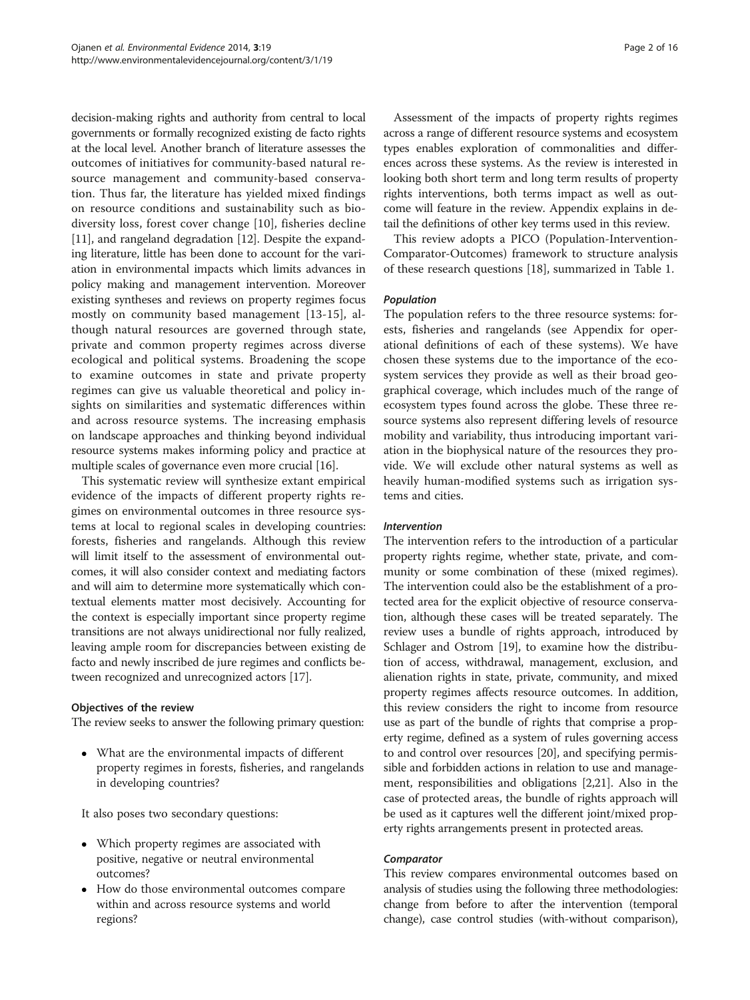decision-making rights and authority from central to local governments or formally recognized existing de facto rights at the local level. Another branch of literature assesses the outcomes of initiatives for community-based natural resource management and community-based conservation. Thus far, the literature has yielded mixed findings on resource conditions and sustainability such as biodiversity loss, forest cover change [[10\]](#page-15-0), fisheries decline [[11](#page-15-0)], and rangeland degradation [\[12](#page-15-0)]. Despite the expanding literature, little has been done to account for the variation in environmental impacts which limits advances in policy making and management intervention. Moreover existing syntheses and reviews on property regimes focus mostly on community based management [[13](#page-15-0)-[15\]](#page-15-0), although natural resources are governed through state, private and common property regimes across diverse ecological and political systems. Broadening the scope to examine outcomes in state and private property regimes can give us valuable theoretical and policy insights on similarities and systematic differences within and across resource systems. The increasing emphasis on landscape approaches and thinking beyond individual resource systems makes informing policy and practice at multiple scales of governance even more crucial [[16\]](#page-15-0).

This systematic review will synthesize extant empirical evidence of the impacts of different property rights regimes on environmental outcomes in three resource systems at local to regional scales in developing countries: forests, fisheries and rangelands. Although this review will limit itself to the assessment of environmental outcomes, it will also consider context and mediating factors and will aim to determine more systematically which contextual elements matter most decisively. Accounting for the context is especially important since property regime transitions are not always unidirectional nor fully realized, leaving ample room for discrepancies between existing de facto and newly inscribed de jure regimes and conflicts between recognized and unrecognized actors [[17](#page-15-0)].

#### Objectives of the review

The review seeks to answer the following primary question:

 What are the environmental impacts of different property regimes in forests, fisheries, and rangelands in developing countries?

It also poses two secondary questions:

- Which property regimes are associated with positive, negative or neutral environmental outcomes?
- How do those environmental outcomes compare within and across resource systems and world regions?

Assessment of the impacts of property rights regimes across a range of different resource systems and ecosystem types enables exploration of commonalities and differences across these systems. As the review is interested in looking both short term and long term results of property rights interventions, both terms impact as well as outcome will feature in the review. [Appendix](#page-8-0) explains in detail the definitions of other key terms used in this review.

This review adopts a PICO (Population-Intervention-Comparator-Outcomes) framework to structure analysis of these research questions [[18](#page-15-0)], summarized in Table [1](#page-2-0).

#### Population

The population refers to the three resource systems: forests, fisheries and rangelands (see [Appendix](#page-8-0) for operational definitions of each of these systems). We have chosen these systems due to the importance of the ecosystem services they provide as well as their broad geographical coverage, which includes much of the range of ecosystem types found across the globe. These three resource systems also represent differing levels of resource mobility and variability, thus introducing important variation in the biophysical nature of the resources they provide. We will exclude other natural systems as well as heavily human-modified systems such as irrigation systems and cities.

#### Intervention

The intervention refers to the introduction of a particular property rights regime, whether state, private, and community or some combination of these (mixed regimes). The intervention could also be the establishment of a protected area for the explicit objective of resource conservation, although these cases will be treated separately. The review uses a bundle of rights approach, introduced by Schlager and Ostrom [\[19\]](#page-15-0), to examine how the distribution of access, withdrawal, management, exclusion, and alienation rights in state, private, community, and mixed property regimes affects resource outcomes. In addition, this review considers the right to income from resource use as part of the bundle of rights that comprise a property regime, defined as a system of rules governing access to and control over resources [[20](#page-15-0)], and specifying permissible and forbidden actions in relation to use and management, responsibilities and obligations [\[2,21\]](#page-15-0). Also in the case of protected areas, the bundle of rights approach will be used as it captures well the different joint/mixed property rights arrangements present in protected areas.

#### Comparator

This review compares environmental outcomes based on analysis of studies using the following three methodologies: change from before to after the intervention (temporal change), case control studies (with-without comparison),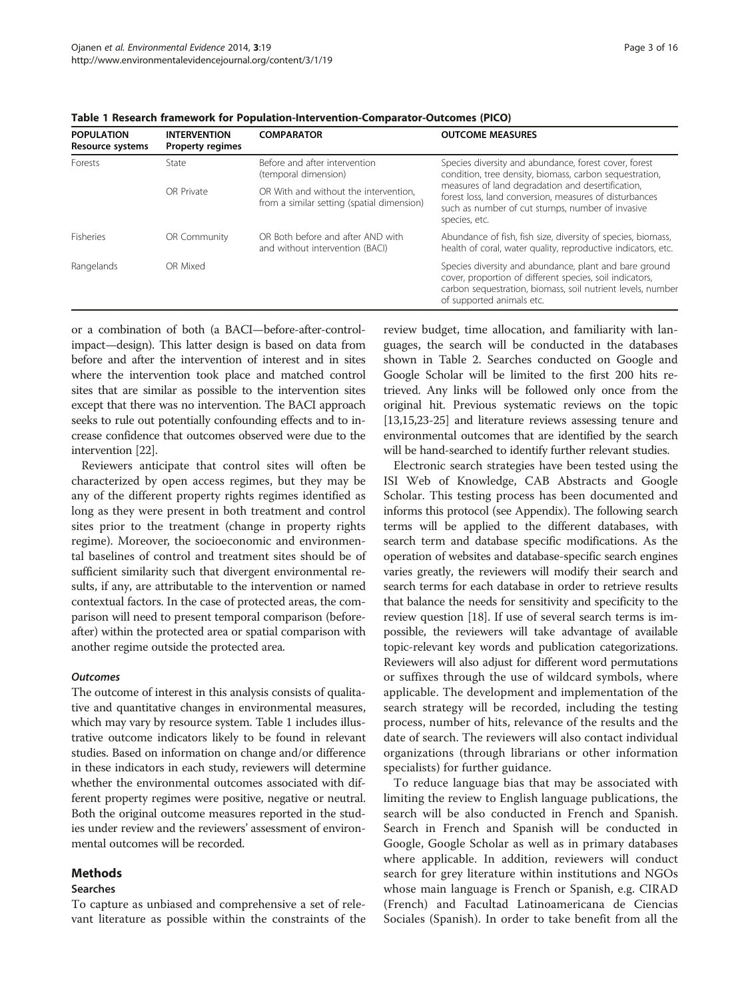| <b>POPULATION</b><br><b>Resource systems</b> | <b>INTERVENTION</b><br><b>Property regimes</b> | <b>COMPARATOR</b>                                                                   | <b>OUTCOME MEASURES</b>                                                                                                                                                                                        |
|----------------------------------------------|------------------------------------------------|-------------------------------------------------------------------------------------|----------------------------------------------------------------------------------------------------------------------------------------------------------------------------------------------------------------|
| Forests                                      | State                                          | Before and after intervention<br>(temporal dimension)                               | Species diversity and abundance, forest cover, forest<br>condition, tree density, biomass, carbon sequestration,                                                                                               |
|                                              | OR Private                                     | OR With and without the intervention,<br>from a similar setting (spatial dimension) | measures of land degradation and desertification,<br>forest loss, land conversion, measures of disturbances<br>such as number of cut stumps, number of invasive<br>species, etc.                               |
| <b>Fisheries</b>                             | OR Community                                   | OR Both before and after AND with<br>and without intervention (BACI)                | Abundance of fish, fish size, diversity of species, biomass,<br>health of coral, water quality, reproductive indicators, etc.                                                                                  |
| Rangelands                                   | OR Mixed                                       |                                                                                     | Species diversity and abundance, plant and bare ground<br>cover, proportion of different species, soil indicators,<br>carbon sequestration, biomass, soil nutrient levels, number<br>of supported animals etc. |

<span id="page-2-0"></span>Table 1 Research framework for Population-Intervention-Comparator-Outcomes (PICO)

or a combination of both (a BACI—before-after-controlimpact—design). This latter design is based on data from before and after the intervention of interest and in sites where the intervention took place and matched control sites that are similar as possible to the intervention sites except that there was no intervention. The BACI approach seeks to rule out potentially confounding effects and to increase confidence that outcomes observed were due to the intervention [[22](#page-15-0)].

Reviewers anticipate that control sites will often be characterized by open access regimes, but they may be any of the different property rights regimes identified as long as they were present in both treatment and control sites prior to the treatment (change in property rights regime). Moreover, the socioeconomic and environmental baselines of control and treatment sites should be of sufficient similarity such that divergent environmental results, if any, are attributable to the intervention or named contextual factors. In the case of protected areas, the comparison will need to present temporal comparison (beforeafter) within the protected area or spatial comparison with another regime outside the protected area.

#### **Outcomes**

The outcome of interest in this analysis consists of qualitative and quantitative changes in environmental measures, which may vary by resource system. Table 1 includes illustrative outcome indicators likely to be found in relevant studies. Based on information on change and/or difference in these indicators in each study, reviewers will determine whether the environmental outcomes associated with different property regimes were positive, negative or neutral. Both the original outcome measures reported in the studies under review and the reviewers' assessment of environmental outcomes will be recorded.

#### Methods

#### Searches

To capture as unbiased and comprehensive a set of relevant literature as possible within the constraints of the

review budget, time allocation, and familiarity with languages, the search will be conducted in the databases shown in Table [2](#page-3-0). Searches conducted on Google and Google Scholar will be limited to the first 200 hits retrieved. Any links will be followed only once from the original hit. Previous systematic reviews on the topic [[13,15,23-25\]](#page-15-0) and literature reviews assessing tenure and environmental outcomes that are identified by the search will be hand-searched to identify further relevant studies.

Electronic search strategies have been tested using the ISI Web of Knowledge, CAB Abstracts and Google Scholar. This testing process has been documented and informs this protocol (see [Appendix\)](#page-8-0). The following search terms will be applied to the different databases, with search term and database specific modifications. As the operation of websites and database-specific search engines varies greatly, the reviewers will modify their search and search terms for each database in order to retrieve results that balance the needs for sensitivity and specificity to the review question [[18](#page-15-0)]. If use of several search terms is impossible, the reviewers will take advantage of available topic-relevant key words and publication categorizations. Reviewers will also adjust for different word permutations or suffixes through the use of wildcard symbols, where applicable. The development and implementation of the search strategy will be recorded, including the testing process, number of hits, relevance of the results and the date of search. The reviewers will also contact individual organizations (through librarians or other information specialists) for further guidance.

To reduce language bias that may be associated with limiting the review to English language publications, the search will be also conducted in French and Spanish. Search in French and Spanish will be conducted in Google, Google Scholar as well as in primary databases where applicable. In addition, reviewers will conduct search for grey literature within institutions and NGOs whose main language is French or Spanish, e.g. CIRAD (French) and Facultad Latinoamericana de Ciencias Sociales (Spanish). In order to take benefit from all the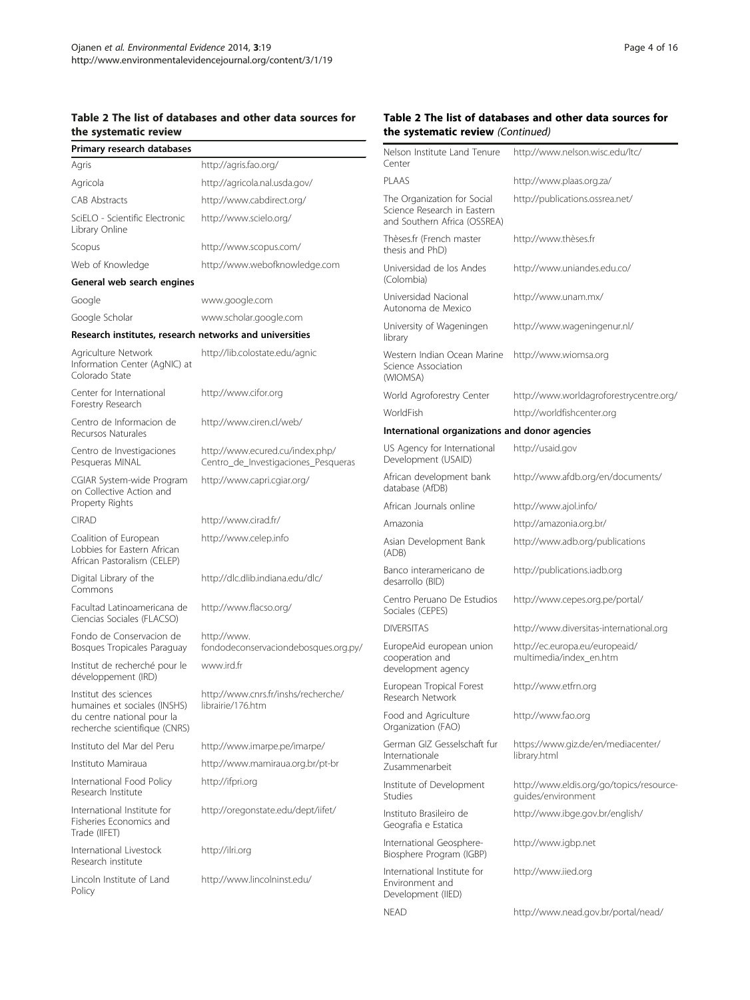# <span id="page-3-0"></span>Table 2 The list of databases and other data sources for the systematic review

## Table 2 The list of databases and other data sources for the systematic review (Continued)

| Primary research databases                                                          |                                                                        | Nelson Institute Land Tenure                                         | http://www.nelson.wisc.edu/ltc/                                |
|-------------------------------------------------------------------------------------|------------------------------------------------------------------------|----------------------------------------------------------------------|----------------------------------------------------------------|
| Agris                                                                               | http://agris.fao.org/                                                  | Center                                                               |                                                                |
| Agricola                                                                            | http://agricola.nal.usda.gov/                                          | PLAAS                                                                | http://www.plaas.org.za/                                       |
| <b>CAB Abstracts</b>                                                                | http://www.cabdirect.org/                                              | The Organization for Social                                          | http://publications.ossrea.net/                                |
| SciELO - Scientific Electronic<br>Library Online                                    | http://www.scielo.org/                                                 | Science Research in Eastern<br>and Southern Africa (OSSREA)          |                                                                |
| Scopus                                                                              | http://www.scopus.com/                                                 | Thèses.fr (French master<br>thesis and PhD)                          | http://www.thèses.fr                                           |
| Web of Knowledge                                                                    | http://www.webofknowledge.com                                          | Universidad de los Andes                                             | http://www.uniandes.edu.co/                                    |
| General web search engines                                                          |                                                                        | (Colombia)                                                           |                                                                |
| Google                                                                              | www.google.com                                                         | Universidad Nacional                                                 | http://www.unam.mx/                                            |
| Google Scholar                                                                      | www.scholar.google.com                                                 | Autonoma de Mexico                                                   |                                                                |
| Research institutes, research networks and universities                             |                                                                        | University of Wageningen<br>library                                  | http://www.wageningenur.nl/                                    |
| Agriculture Network<br>Information Center (AgNIC) at<br>Colorado State              | http://lib.colostate.edu/agnic                                         | Western Indian Ocean Marine<br>Science Association<br>(WIOMSA)       | http://www.wiomsa.org                                          |
| Center for International                                                            | http://www.cifor.org                                                   | World Agroforestry Center                                            | http://www.worldagroforestrycentre.org/                        |
| Forestry Research                                                                   |                                                                        | WorldFish                                                            | http://worldfishcenter.org                                     |
| Centro de Informacion de<br>Recursos Naturales                                      | http://www.ciren.cl/web/                                               | International organizations and donor agencies                       |                                                                |
| Centro de Investigaciones<br>Pesqueras MINAL                                        | http://www.ecured.cu/index.php/<br>Centro_de_Investigaciones_Pesqueras | US Agency for International<br>Development (USAID)                   | http://usaid.gov                                               |
| CGIAR System-wide Program<br>on Collective Action and                               | http://www.capri.cgiar.org/                                            | African development bank<br>database (AfDB)                          | http://www.afdb.org/en/documents/                              |
| Property Rights                                                                     |                                                                        | African Journals online                                              | http://www.ajol.info/                                          |
| <b>CIRAD</b>                                                                        | http://www.cirad.fr/                                                   | Amazonia                                                             | http://amazonia.org.br/                                        |
| Coalition of European<br>Lobbies for Eastern African<br>African Pastoralism (CELEP) | http://www.celep.info                                                  | Asian Development Bank<br>(ADB)                                      | http://www.adb.org/publications                                |
| Digital Library of the<br>Commons                                                   | http://dlc.dlib.indiana.edu/dlc/                                       | Banco interamericano de<br>desarrollo (BID)                          | http://publications.iadb.org                                   |
| Facultad Latinoamericana de<br>Ciencias Sociales (FLACSO)                           | http://www.flacso.org/                                                 | Centro Peruano De Estudios<br>Sociales (CEPES)                       | http://www.cepes.org.pe/portal/                                |
| Fondo de Conservacion de                                                            | http://www.                                                            | <b>DIVERSITAS</b>                                                    | http://www.diversitas-international.org                        |
| Bosques Tropicales Paraguay                                                         | fondodeconservaciondebosques.org.py/<br>www.ird.fr                     | EuropeAid european union<br>cooperation and                          | http://ec.europa.eu/europeaid/<br>multimedia/index_en.htm      |
| Institut de recherché pour le<br>développement (IRD)                                |                                                                        | development agency                                                   |                                                                |
| Institut des sciences<br>humaines et sociales (INSHS)                               | http://www.cnrs.fr/inshs/recherche/<br>librairie/176.htm               | European Tropical Forest<br>Research Network                         | http://www.etfrn.org                                           |
| du centre national pour la<br>recherche scientifique (CNRS)                         |                                                                        | Food and Agriculture<br>Organization (FAO)                           | http://www.fao.org                                             |
| Instituto del Mar del Peru                                                          | http://www.imarpe.pe/imarpe/                                           | German GIZ Gesselschaft fur<br>Internationale                        | https://www.giz.de/en/mediacenter/<br>library.html             |
| Instituto Mamiraua                                                                  | http://www.mamiraua.org.br/pt-br                                       | Zusammenarbeit                                                       |                                                                |
| International Food Policy<br>Research Institute                                     | http://ifpri.org                                                       | Institute of Development<br><b>Studies</b>                           | http://www.eldis.org/go/topics/resource-<br>quides/environment |
| International Institute for<br>Fisheries Economics and<br>Trade (IIFET)             | http://oregonstate.edu/dept/iifet/                                     | Instituto Brasileiro de<br>Geografia e Estatica                      | http://www.ibge.gov.br/english/                                |
| International Livestock<br>Research institute                                       | http://ilri.org                                                        | International Geosphere-<br>Biosphere Program (IGBP)                 | http://www.igbp.net                                            |
| Lincoln Institute of Land<br>Policy                                                 | http://www.lincolninst.edu/                                            | International Institute for<br>Environment and<br>Development (IIED) | http://www.iied.org                                            |
|                                                                                     |                                                                        | <b>NEAD</b>                                                          | http://www.nead.gov.br/portal/nead/                            |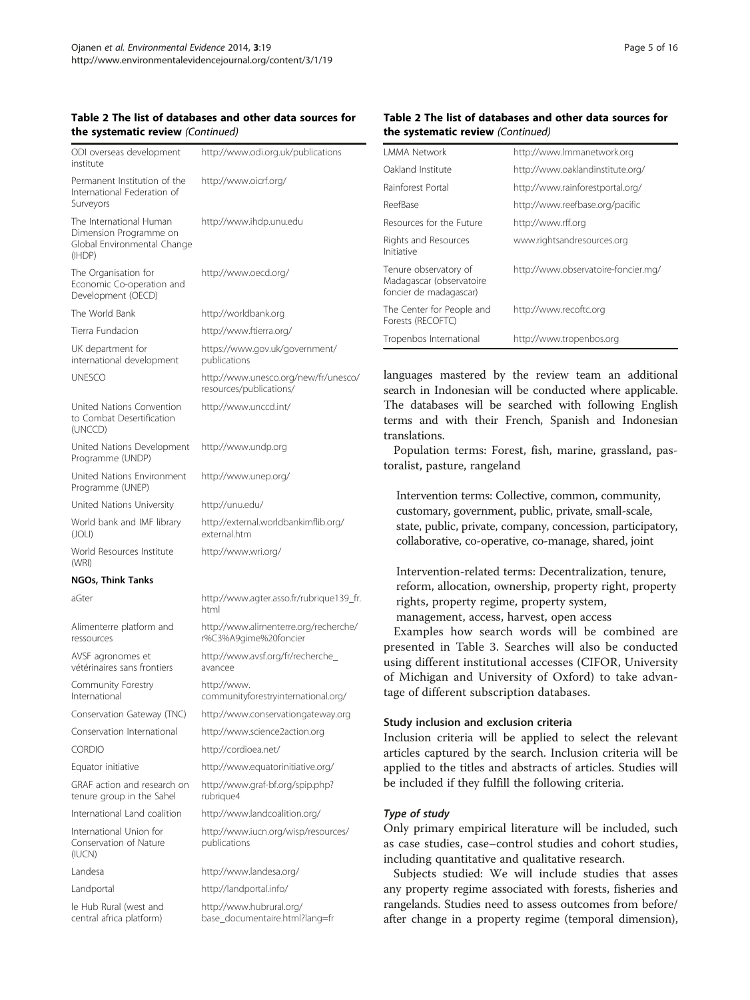## Table 2 The list of databases and other data sources for the systematic review (Continued)

## Table 2 The list of databases and other data sources for the systematic review (Continued)

| ODI overseas development                                                | http://www.odi.org.uk/publications                              | LMMA Network                                                                                                                                                                                                            | http://www.lmmanetwork.org                                                                                                                                                |  |
|-------------------------------------------------------------------------|-----------------------------------------------------------------|-------------------------------------------------------------------------------------------------------------------------------------------------------------------------------------------------------------------------|---------------------------------------------------------------------------------------------------------------------------------------------------------------------------|--|
| institute<br>Permanent Institution of the                               |                                                                 | Oakland Institute                                                                                                                                                                                                       | http://www.oaklandinstitute.org/                                                                                                                                          |  |
| International Federation of                                             | http://www.oicrf.org/                                           | Rainforest Portal                                                                                                                                                                                                       | http://www.rainforestportal.org/                                                                                                                                          |  |
| Surveyors                                                               |                                                                 | ReefBase                                                                                                                                                                                                                | http://www.reefbase.org/pacific                                                                                                                                           |  |
| The International Human<br>Dimension Programme on                       | http://www.ihdp.unu.edu                                         | Resources for the Future                                                                                                                                                                                                | http://www.rff.org                                                                                                                                                        |  |
| Global Environmental Change<br>(IHDP)                                   |                                                                 | www.rightsandresources.org<br>Rights and Resources<br>Initiative                                                                                                                                                        |                                                                                                                                                                           |  |
| The Organisation for<br>Economic Co-operation and<br>Development (OECD) | http://www.oecd.org/                                            | Tenure observatory of<br>Madagascar (observatoire<br>foncier de madagascar)                                                                                                                                             | http://www.observatoire-foncier.mg/                                                                                                                                       |  |
| The World Bank                                                          | http://worldbank.org                                            | The Center for People and<br>http://www.recoftc.org<br>Forests (RECOFTC)                                                                                                                                                |                                                                                                                                                                           |  |
| Tierra Fundacion                                                        | http://www.ftierra.org/                                         | Tropenbos International                                                                                                                                                                                                 | http://www.tropenbos.org                                                                                                                                                  |  |
| UK department for<br>international development                          | https://www.gov.uk/government/<br>publications                  |                                                                                                                                                                                                                         |                                                                                                                                                                           |  |
| <b>UNESCO</b>                                                           | http://www.unesco.org/new/fr/unesco/<br>resources/publications/ |                                                                                                                                                                                                                         | languages mastered by the review team an additional<br>search in Indonesian will be conducted where applicable.                                                           |  |
| United Nations Convention<br>to Combat Desertification<br>(UNCCD)       | http://www.unccd.int/                                           | The databases will be searched with following English<br>terms and with their French, Spanish and Indonesian<br>translations.                                                                                           |                                                                                                                                                                           |  |
| United Nations Development<br>Programme (UNDP)                          | http://www.undp.org                                             | toralist, pasture, rangeland                                                                                                                                                                                            | Population terms: Forest, fish, marine, grassland, pas-                                                                                                                   |  |
| United Nations Environment<br>Programme (UNEP)                          | http://www.unep.org/                                            |                                                                                                                                                                                                                         |                                                                                                                                                                           |  |
| United Nations University                                               | http://unu.edu/                                                 | Intervention terms: Collective, common, community,<br>customary, government, public, private, small-scale,                                                                                                              |                                                                                                                                                                           |  |
| World bank and IMF library<br>(JOLI)                                    | http://external.worldbankimflib.org/<br>external.htm            | state, public, private, company, concession, participatory,<br>collaborative, co-operative, co-manage, shared, joint                                                                                                    |                                                                                                                                                                           |  |
| World Resources Institute<br>(WRI)                                      | http://www.wri.org/                                             |                                                                                                                                                                                                                         |                                                                                                                                                                           |  |
| <b>NGOs, Think Tanks</b>                                                |                                                                 |                                                                                                                                                                                                                         | Intervention-related terms: Decentralization, tenure,                                                                                                                     |  |
| aGter                                                                   | http://www.agter.asso.fr/rubrique139_fr.<br>html                | reform, allocation, ownership, property right, property<br>rights, property regime, property system,<br>management, access, harvest, open access                                                                        |                                                                                                                                                                           |  |
| Alimenterre platform and<br>ressources                                  | http://www.alimenterre.org/recherche/<br>r%C3%A9gime%20foncier  |                                                                                                                                                                                                                         | Examples how search words will be combined are                                                                                                                            |  |
| AVSF agronomes et<br>vétérinaires sans frontiers                        | http://www.avsf.org/fr/recherche_<br>avancee                    | presented in Table 3. Searches will also be conducted<br>using different institutional accesses (CIFOR, University<br>of Michigan and University of Oxford) to take advan-<br>tage of different subscription databases. |                                                                                                                                                                           |  |
| Community Forestry<br>International                                     | http://www.<br>communityforestryinternational.org/              |                                                                                                                                                                                                                         |                                                                                                                                                                           |  |
| Conservation Gateway (TNC)                                              | http://www.conservationgateway.org                              |                                                                                                                                                                                                                         |                                                                                                                                                                           |  |
| Conservation International                                              | http://www.science2action.org                                   | Study inclusion and exclusion criteria                                                                                                                                                                                  | Inclusion criteria will be applied to select the relevant                                                                                                                 |  |
| <b>CORDIO</b>                                                           | http://cordioea.net/                                            |                                                                                                                                                                                                                         | articles captured by the search. Inclusion criteria will be                                                                                                               |  |
| Equator initiative                                                      | http://www.equatorinitiative.org/                               |                                                                                                                                                                                                                         | applied to the titles and abstracts of articles. Studies will                                                                                                             |  |
| GRAF action and research on<br>tenure group in the Sahel                | http://www.graf-bf.org/spip.php?<br>rubrique4                   |                                                                                                                                                                                                                         | be included if they fulfill the following criteria.                                                                                                                       |  |
| International Land coalition                                            | http://www.landcoalition.org/                                   | Type of study                                                                                                                                                                                                           |                                                                                                                                                                           |  |
| International Union for<br>Conservation of Nature<br>(IUCN)             | http://www.iucn.org/wisp/resources/<br>publications             |                                                                                                                                                                                                                         | Only primary empirical literature will be included, such<br>as case studies, case–control studies and cohort studies,<br>including quantitative and qualitative research. |  |
| Landesa                                                                 | http://www.landesa.org/                                         |                                                                                                                                                                                                                         | Subjects studied: We will include studies that asses                                                                                                                      |  |
| Landportal                                                              | http://landportal.info/                                         |                                                                                                                                                                                                                         | any property regime associated with forests, fisheries and                                                                                                                |  |
| le Hub Rural (west and<br>central africa platform)                      | http://www.hubrural.org/<br>base_documentaire.html?lang=fr      | rangelands. Studies need to assess outcomes from before/<br>after change in a property regime (temporal dimension),                                                                                                     |                                                                                                                                                                           |  |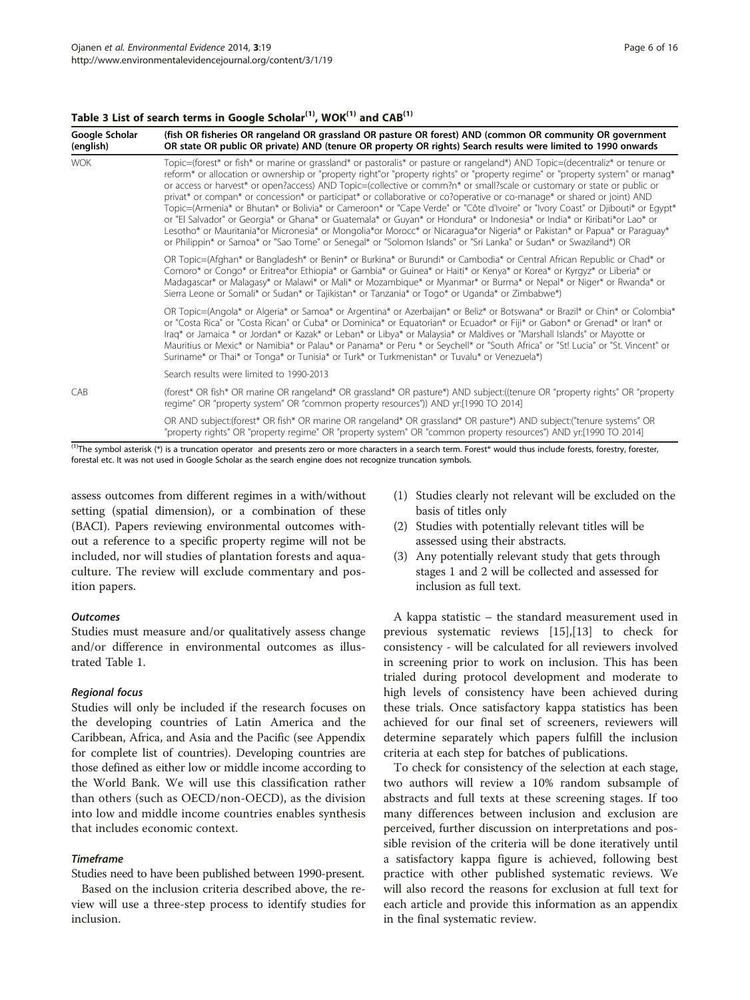#### <span id="page-5-0"></span>Table 3 List of search terms in Google Scholar<sup>(1)</sup>, WOK<sup>(1)</sup> and CAB<sup>(1)</sup>

| Google Scholar<br>(english) | (fish OR fisheries OR rangeland OR grassland OR pasture OR forest) AND (common OR community OR government<br>OR state OR public OR private) AND (tenure OR property OR rights) Search results were limited to 1990 onwards                                                                                                                                                                                                                                                                                                                                                                                                                                                                                                                                                                                                                                                                                                                                                                                                              |
|-----------------------------|-----------------------------------------------------------------------------------------------------------------------------------------------------------------------------------------------------------------------------------------------------------------------------------------------------------------------------------------------------------------------------------------------------------------------------------------------------------------------------------------------------------------------------------------------------------------------------------------------------------------------------------------------------------------------------------------------------------------------------------------------------------------------------------------------------------------------------------------------------------------------------------------------------------------------------------------------------------------------------------------------------------------------------------------|
| <b>WOK</b>                  | Topic=(forest* or fish* or marine or grassland* or pastoralis* or pasture or rangeland*) AND Topic=(decentraliz* or tenure or<br>reform* or allocation or ownership or "property right"or "property rights" or "property regime" or "property system" or manag*<br>or access or harvest* or open?access) AND Topic=(collective or comm?n* or small?scale or customary or state or public or<br>privat* or compan* or concession* or participat* or collaborative or co?operative or co-manage* or shared or joint) AND<br>Topic=(Armenia* or Bhutan* or Bolivia* or Cameroon* or "Cape Verde" or "Côte d'Ivoire" or "Ivory Coast" or Djibouti* or Egypt*<br>or "El Salvador" or Georgia* or Ghana* or Guatemala* or Guyan* or Hondura* or Indonesia* or India* or Kiribati*or Lao* or<br>Lesotho* or Mauritania*or Micronesia* or Mongolia*or Morocc* or Nicaragua*or Nigeria* or Pakistan* or Papua* or Paraguay*<br>or Philippin* or Samoa* or "Sao Tome" or Senegal* or "Solomon Islands" or "Sri Lanka" or Sudan* or Swaziland*) OR |
|                             | OR Topic=(Afghan* or Bangladesh* or Benin* or Burkina* or Burundi* or Cambodia* or Central African Republic or Chad* or<br>Comoro* or Congo* or Eritrea*or Ethiopia* or Gambia* or Guinea* or Haiti* or Kenya* or Korea* or Kyrgyz* or Liberia* or<br>Madagascar* or Malagasy* or Malawi* or Mali* or Mozambigue* or Myanmar* or Burma* or Nepal* or Niger* or Rwanda* or<br>Sierra Leone or Somali* or Sudan* or Tajikistan* or Tanzania* or Togo* or Uganda* or Zimbabwe*)                                                                                                                                                                                                                                                                                                                                                                                                                                                                                                                                                            |
|                             | OR Topic=(Angola* or Algeria* or Samoa* or Argentina* or Azerbaijan* or Beliz* or Botswana* or Brazil* or Chin* or Colombia*<br>or "Costa Rica" or "Costa Rican" or Cuba* or Dominica* or Equatorian* or Ecuador* or Fiji* or Gabon* or Grenad* or Iran* or<br>Iraq* or Jamaica * or Jordan* or Kazak* or Leban* or Libya* or Malaysia* or Maldives or "Marshall Islands" or Mayotte or<br>Mauritius or Mexic* or Namibia* or Palau* or Panama* or Peru * or Seychell* or "South Africa" or "St! Lucia" or "St. Vincent" or<br>Suriname* or Thai* or Tonga* or Tunisia* or Turk* or Turkmenistan* or Tuvalu* or Venezuela*)                                                                                                                                                                                                                                                                                                                                                                                                             |
|                             | Search results were limited to 1990-2013                                                                                                                                                                                                                                                                                                                                                                                                                                                                                                                                                                                                                                                                                                                                                                                                                                                                                                                                                                                                |
| CAB                         | (forest* OR fish* OR marine OR rangeland* OR grassland* OR pasture*) AND subject:((tenure OR "property rights" OR "property<br>regime" OR "property system" OR "common property resources")) AND yr:[1990 TO 2014]                                                                                                                                                                                                                                                                                                                                                                                                                                                                                                                                                                                                                                                                                                                                                                                                                      |
|                             | OR AND subject:(forest* OR fish* OR marine OR rangeland* OR grassland* OR pasture*) AND subject:("tenure systems" OR<br>"property rights" OR "property regime" OR "property system" OR "common property resources") AND yr:[1990 TO 2014]                                                                                                                                                                                                                                                                                                                                                                                                                                                                                                                                                                                                                                                                                                                                                                                               |

 $^{(1)}$ The symbol asterisk (\*) is a truncation operator and presents zero or more characters in a search term. Forest\* would thus include forests, forestry, forester, forestal etc. It was not used in Google Scholar as the search engine does not recognize truncation symbols.

assess outcomes from different regimes in a with/without setting (spatial dimension), or a combination of these (BACI). Papers reviewing environmental outcomes without a reference to a specific property regime will not be included, nor will studies of plantation forests and aquaculture. The review will exclude commentary and position papers.

## **Outcomes**

Studies must measure and/or qualitatively assess change and/or difference in environmental outcomes as illustrated Table [1.](#page-2-0)

## Regional focus

Studies will only be included if the research focuses on the developing countries of Latin America and the Caribbean, Africa, and Asia and the Pacific (see [Appendix](#page-8-0) for complete list of countries). Developing countries are those defined as either low or middle income according to the World Bank. We will use this classification rather than others (such as OECD/non-OECD), as the division into low and middle income countries enables synthesis that includes economic context.

## Timeframe

Studies need to have been published between 1990-present. Based on the inclusion criteria described above, the review will use a three-step process to identify studies for inclusion.

- (1) Studies clearly not relevant will be excluded on the basis of titles only
- (2) Studies with potentially relevant titles will be assessed using their abstracts.
- (3) Any potentially relevant study that gets through stages 1 and 2 will be collected and assessed for inclusion as full text.

A kappa statistic – the standard measurement used in previous systematic reviews [\[15](#page-15-0)],[[13\]](#page-15-0) to check for consistency - will be calculated for all reviewers involved in screening prior to work on inclusion. This has been trialed during protocol development and moderate to high levels of consistency have been achieved during these trials. Once satisfactory kappa statistics has been achieved for our final set of screeners, reviewers will determine separately which papers fulfill the inclusion criteria at each step for batches of publications.

To check for consistency of the selection at each stage, two authors will review a 10% random subsample of abstracts and full texts at these screening stages. If too many differences between inclusion and exclusion are perceived, further discussion on interpretations and possible revision of the criteria will be done iteratively until a satisfactory kappa figure is achieved, following best practice with other published systematic reviews. We will also record the reasons for exclusion at full text for each article and provide this information as an appendix in the final systematic review.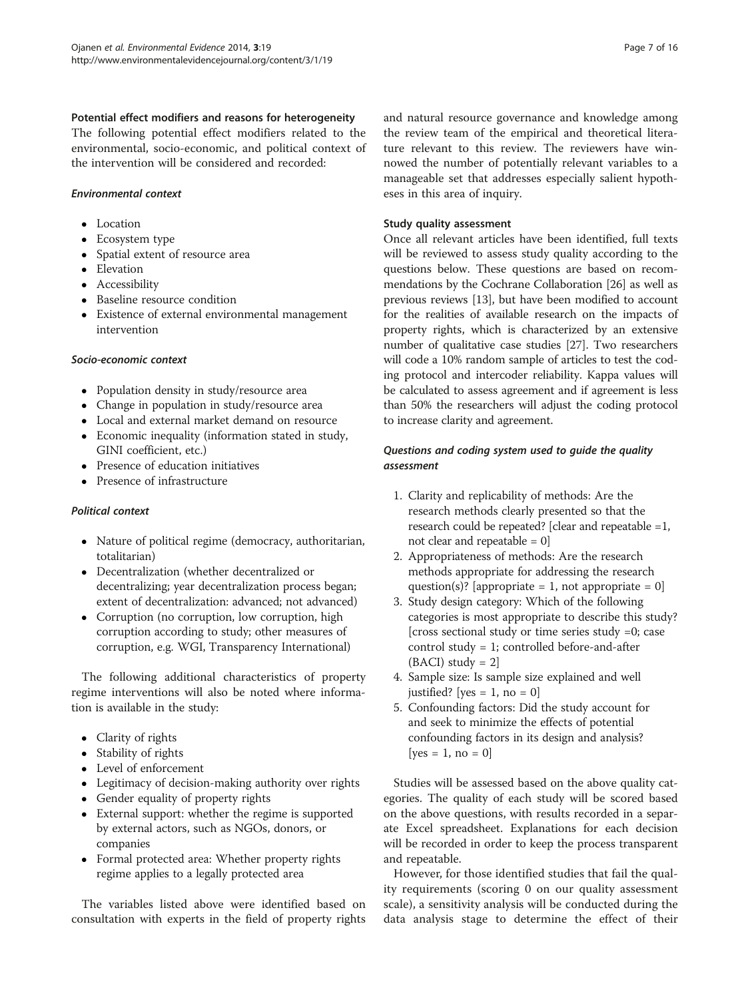## Potential effect modifiers and reasons for heterogeneity

The following potential effect modifiers related to the environmental, socio-economic, and political context of the intervention will be considered and recorded:

## Environmental context

- Location
- Ecosystem type
- Spatial extent of resource area
- Elevation
- Accessibility
- Baseline resource condition
- Existence of external environmental management intervention

## Socio-economic context

- Population density in study/resource area
- Change in population in study/resource area
- Local and external market demand on resource
- Economic inequality (information stated in study, GINI coefficient, etc.)
- Presence of education initiatives
- Presence of infrastructure

## Political context

- Nature of political regime (democracy, authoritarian, totalitarian)
- Decentralization (whether decentralized or decentralizing; year decentralization process began; extent of decentralization: advanced; not advanced)
- Corruption (no corruption, low corruption, high corruption according to study; other measures of corruption, e.g. WGI, Transparency International)

The following additional characteristics of property regime interventions will also be noted where information is available in the study:

- Clarity of rights
- Stability of rights
- Level of enforcement
- Legitimacy of decision-making authority over rights
- Gender equality of property rights
- External support: whether the regime is supported by external actors, such as NGOs, donors, or companies
- Formal protected area: Whether property rights regime applies to a legally protected area

The variables listed above were identified based on consultation with experts in the field of property rights and natural resource governance and knowledge among the review team of the empirical and theoretical literature relevant to this review. The reviewers have winnowed the number of potentially relevant variables to a manageable set that addresses especially salient hypotheses in this area of inquiry.

## Study quality assessment

Once all relevant articles have been identified, full texts will be reviewed to assess study quality according to the questions below. These questions are based on recommendations by the Cochrane Collaboration [[26](#page-15-0)] as well as previous reviews [\[13\]](#page-15-0), but have been modified to account for the realities of available research on the impacts of property rights, which is characterized by an extensive number of qualitative case studies [[27](#page-15-0)]. Two researchers will code a 10% random sample of articles to test the coding protocol and intercoder reliability. Kappa values will be calculated to assess agreement and if agreement is less than 50% the researchers will adjust the coding protocol to increase clarity and agreement.

# Questions and coding system used to guide the quality assessment

- 1. Clarity and replicability of methods: Are the research methods clearly presented so that the research could be repeated? [clear and repeatable =1, not clear and repeatable = 0]
- 2. Appropriateness of methods: Are the research methods appropriate for addressing the research question(s)? [appropriate = 1, not appropriate =  $0$ ]
- 3. Study design category: Which of the following categories is most appropriate to describe this study? [cross sectional study or time series study =0; case control study = 1; controlled before-and-after  $(BACI)$  study = 2
- 4. Sample size: Is sample size explained and well justified? [yes = 1, no = 0]
- 5. Confounding factors: Did the study account for and seek to minimize the effects of potential confounding factors in its design and analysis?  $[yes = 1, no = 0]$

Studies will be assessed based on the above quality categories. The quality of each study will be scored based on the above questions, with results recorded in a separate Excel spreadsheet. Explanations for each decision will be recorded in order to keep the process transparent and repeatable.

However, for those identified studies that fail the quality requirements (scoring 0 on our quality assessment scale), a sensitivity analysis will be conducted during the data analysis stage to determine the effect of their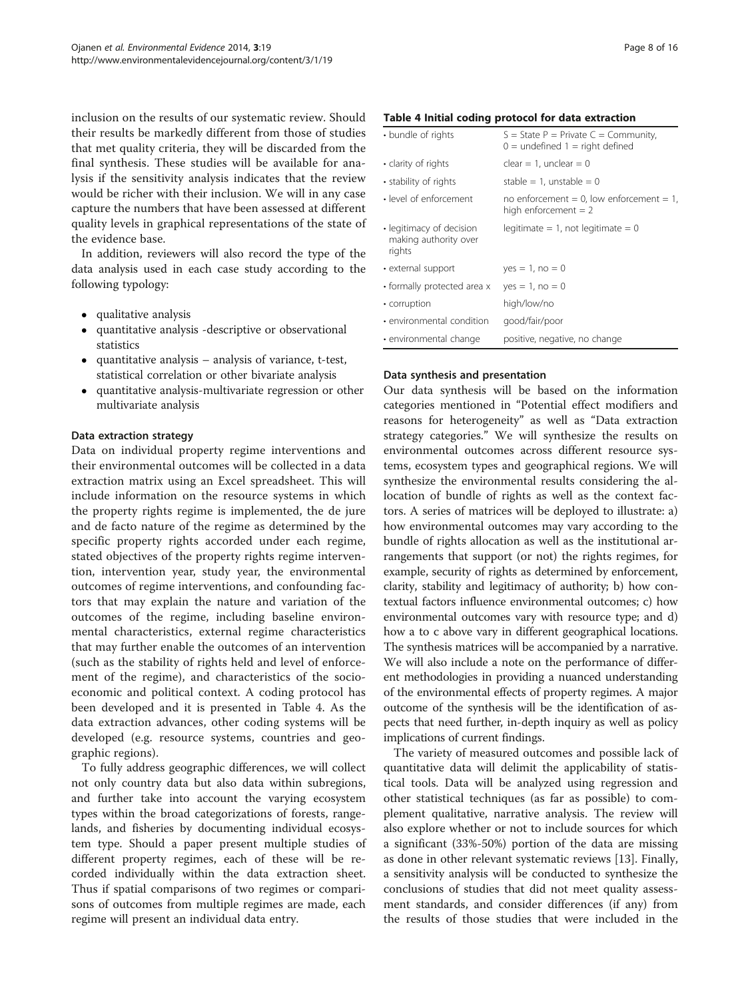inclusion on the results of our systematic review. Should their results be markedly different from those of studies that met quality criteria, they will be discarded from the final synthesis. These studies will be available for analysis if the sensitivity analysis indicates that the review would be richer with their inclusion. We will in any case capture the numbers that have been assessed at different quality levels in graphical representations of the state of the evidence base.

In addition, reviewers will also record the type of the data analysis used in each case study according to the following typology:

- qualitative analysis
- quantitative analysis -descriptive or observational statistics
- quantitative analysis analysis of variance, t-test, statistical correlation or other bivariate analysis
- quantitative analysis-multivariate regression or other multivariate analysis

#### Data extraction strategy

Data on individual property regime interventions and their environmental outcomes will be collected in a data extraction matrix using an Excel spreadsheet. This will include information on the resource systems in which the property rights regime is implemented, the de jure and de facto nature of the regime as determined by the specific property rights accorded under each regime, stated objectives of the property rights regime intervention, intervention year, study year, the environmental outcomes of regime interventions, and confounding factors that may explain the nature and variation of the outcomes of the regime, including baseline environmental characteristics, external regime characteristics that may further enable the outcomes of an intervention (such as the stability of rights held and level of enforcement of the regime), and characteristics of the socioeconomic and political context. A coding protocol has been developed and it is presented in Table 4. As the data extraction advances, other coding systems will be developed (e.g. resource systems, countries and geographic regions).

To fully address geographic differences, we will collect not only country data but also data within subregions, and further take into account the varying ecosystem types within the broad categorizations of forests, rangelands, and fisheries by documenting individual ecosystem type. Should a paper present multiple studies of different property regimes, each of these will be recorded individually within the data extraction sheet. Thus if spatial comparisons of two regimes or comparisons of outcomes from multiple regimes are made, each regime will present an individual data entry.

#### Table 4 Initial coding protocol for data extraction

| • bundle of rights                                          | S = State $P =$ Private C = Community,<br>$0 =$ undefined $1 =$ right defined |
|-------------------------------------------------------------|-------------------------------------------------------------------------------|
| • clarity of rights                                         | $clear = 1$ , unclear = 0                                                     |
| • stability of rights                                       | stable = 1, unstable = $0$                                                    |
| • level of enforcement                                      | no enforcement = 0, low enforcement = 1,<br>high enforcement $= 2$            |
| • legitimacy of decision<br>making authority over<br>rights | $legitimate = 1$ , not legitimate = 0                                         |
| • external support                                          | $yes = 1, no = 0$                                                             |
| • formally protected area x                                 | $yes = 1, no = 0$                                                             |
| • corruption                                                | high/low/no                                                                   |
| • environmental condition                                   | qood/fair/poor                                                                |
| • environmental change                                      | positive, negative, no change                                                 |

#### Data synthesis and presentation

Our data synthesis will be based on the information categories mentioned in "Potential effect modifiers and reasons for heterogeneity" as well as "Data extraction strategy categories." We will synthesize the results on environmental outcomes across different resource systems, ecosystem types and geographical regions. We will synthesize the environmental results considering the allocation of bundle of rights as well as the context factors. A series of matrices will be deployed to illustrate: a) how environmental outcomes may vary according to the bundle of rights allocation as well as the institutional arrangements that support (or not) the rights regimes, for example, security of rights as determined by enforcement, clarity, stability and legitimacy of authority; b) how contextual factors influence environmental outcomes; c) how environmental outcomes vary with resource type; and d) how a to c above vary in different geographical locations. The synthesis matrices will be accompanied by a narrative. We will also include a note on the performance of different methodologies in providing a nuanced understanding of the environmental effects of property regimes. A major outcome of the synthesis will be the identification of aspects that need further, in-depth inquiry as well as policy implications of current findings.

The variety of measured outcomes and possible lack of quantitative data will delimit the applicability of statistical tools. Data will be analyzed using regression and other statistical techniques (as far as possible) to complement qualitative, narrative analysis. The review will also explore whether or not to include sources for which a significant (33%-50%) portion of the data are missing as done in other relevant systematic reviews [\[13](#page-15-0)]. Finally, a sensitivity analysis will be conducted to synthesize the conclusions of studies that did not meet quality assessment standards, and consider differences (if any) from the results of those studies that were included in the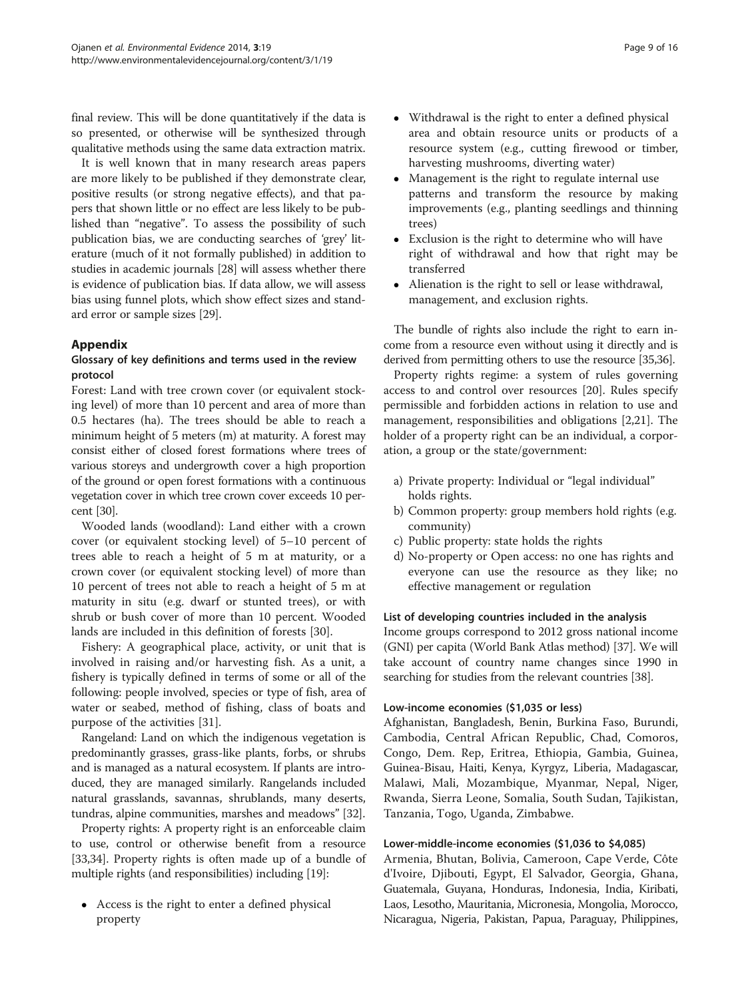<span id="page-8-0"></span>final review. This will be done quantitatively if the data is so presented, or otherwise will be synthesized through qualitative methods using the same data extraction matrix.

It is well known that in many research areas papers are more likely to be published if they demonstrate clear, positive results (or strong negative effects), and that papers that shown little or no effect are less likely to be published than "negative". To assess the possibility of such publication bias, we are conducting searches of 'grey' literature (much of it not formally published) in addition to studies in academic journals [[28](#page-15-0)] will assess whether there is evidence of publication bias. If data allow, we will assess bias using funnel plots, which show effect sizes and standard error or sample sizes [\[29\]](#page-15-0).

# Appendix

## Glossary of key definitions and terms used in the review protocol

Forest: Land with tree crown cover (or equivalent stocking level) of more than 10 percent and area of more than 0.5 hectares (ha). The trees should be able to reach a minimum height of 5 meters (m) at maturity. A forest may consist either of closed forest formations where trees of various storeys and undergrowth cover a high proportion of the ground or open forest formations with a continuous vegetation cover in which tree crown cover exceeds 10 percent [\[30\]](#page-15-0).

Wooded lands (woodland): Land either with a crown cover (or equivalent stocking level) of 5–10 percent of trees able to reach a height of 5 m at maturity, or a crown cover (or equivalent stocking level) of more than 10 percent of trees not able to reach a height of 5 m at maturity in situ (e.g. dwarf or stunted trees), or with shrub or bush cover of more than 10 percent. Wooded lands are included in this definition of forests [\[30](#page-15-0)].

Fishery: A geographical place, activity, or unit that is involved in raising and/or harvesting fish. As a unit, a fishery is typically defined in terms of some or all of the following: people involved, species or type of fish, area of water or seabed, method of fishing, class of boats and purpose of the activities [[31\]](#page-15-0).

Rangeland: Land on which the indigenous vegetation is predominantly grasses, grass-like plants, forbs, or shrubs and is managed as a natural ecosystem. If plants are introduced, they are managed similarly. Rangelands included natural grasslands, savannas, shrublands, many deserts, tundras, alpine communities, marshes and meadows" [\[32\]](#page-15-0).

Property rights: A property right is an enforceable claim to use, control or otherwise benefit from a resource [[33,34](#page-15-0)]. Property rights is often made up of a bundle of multiple rights (and responsibilities) including [\[19](#page-15-0)]:

 Access is the right to enter a defined physical property

- Withdrawal is the right to enter a defined physical area and obtain resource units or products of a resource system (e.g., cutting firewood or timber, harvesting mushrooms, diverting water)
- Management is the right to regulate internal use patterns and transform the resource by making improvements (e.g., planting seedlings and thinning trees)
- Exclusion is the right to determine who will have right of withdrawal and how that right may be transferred
- Alienation is the right to sell or lease withdrawal, management, and exclusion rights.

The bundle of rights also include the right to earn income from a resource even without using it directly and is derived from permitting others to use the resource [\[35,36](#page-15-0)].

Property rights regime: a system of rules governing access to and control over resources [[20\]](#page-15-0). Rules specify permissible and forbidden actions in relation to use and management, responsibilities and obligations [[2,21\]](#page-15-0). The holder of a property right can be an individual, a corporation, a group or the state/government:

- a) Private property: Individual or "legal individual" holds rights.
- b) Common property: group members hold rights (e.g. community)
- c) Public property: state holds the rights
- d) No-property or Open access: no one has rights and everyone can use the resource as they like; no effective management or regulation

## List of developing countries included in the analysis

Income groups correspond to 2012 gross national income (GNI) per capita (World Bank Atlas method) [\[37\]](#page-15-0). We will take account of country name changes since 1990 in searching for studies from the relevant countries [\[38\]](#page-15-0).

## Low-income economies (\$1,035 or less)

Afghanistan, Bangladesh, Benin, Burkina Faso, Burundi, Cambodia, Central African Republic, Chad, Comoros, Congo, Dem. Rep, Eritrea, Ethiopia, Gambia, Guinea, Guinea-Bisau, Haiti, Kenya, Kyrgyz, Liberia, Madagascar, Malawi, Mali, Mozambique, Myanmar, Nepal, Niger, Rwanda, Sierra Leone, Somalia, South Sudan, Tajikistan, Tanzania, Togo, Uganda, Zimbabwe.

## Lower-middle-income economies (\$1,036 to \$4,085)

Armenia, Bhutan, Bolivia, Cameroon, Cape Verde, Côte d'Ivoire, Djibouti, Egypt, El Salvador, Georgia, Ghana, Guatemala, Guyana, Honduras, Indonesia, India, Kiribati, Laos, Lesotho, Mauritania, Micronesia, Mongolia, Morocco, Nicaragua, Nigeria, Pakistan, Papua, Paraguay, Philippines,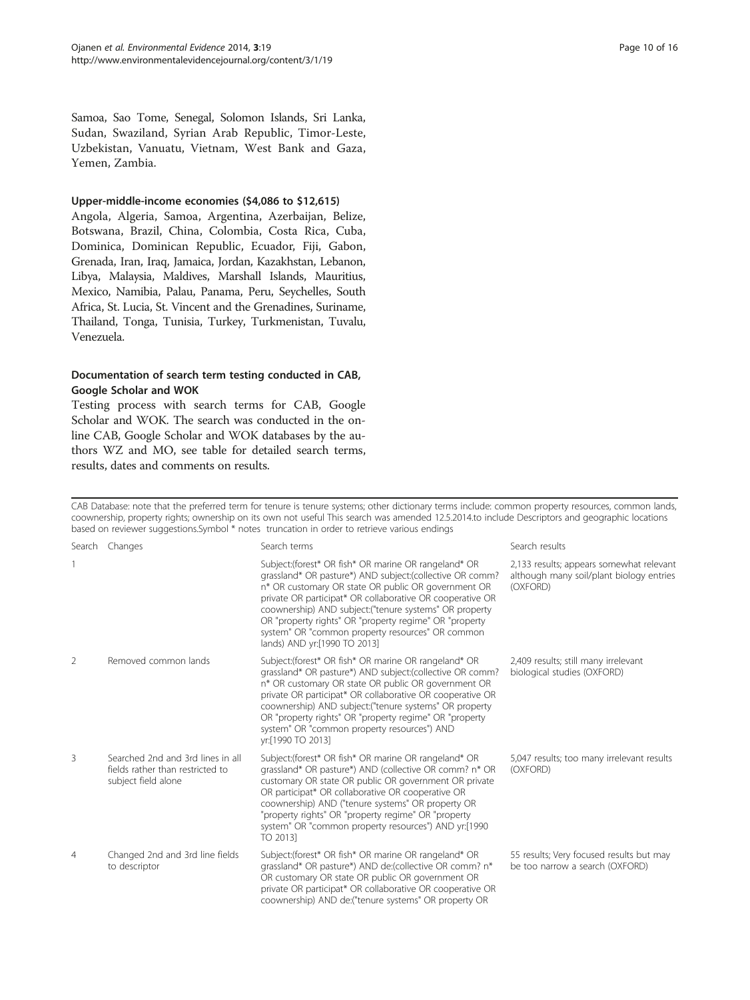Samoa, Sao Tome, Senegal, Solomon Islands, Sri Lanka, Sudan, Swaziland, Syrian Arab Republic, Timor-Leste, Uzbekistan, Vanuatu, Vietnam, West Bank and Gaza, Yemen, Zambia.

#### Upper-middle-income economies (\$4,086 to \$12,615)

Angola, Algeria, Samoa, Argentina, Azerbaijan, Belize, Botswana, Brazil, China, Colombia, Costa Rica, Cuba, Dominica, Dominican Republic, Ecuador, Fiji, Gabon, Grenada, Iran, Iraq, Jamaica, Jordan, Kazakhstan, Lebanon, Libya, Malaysia, Maldives, Marshall Islands, Mauritius, Mexico, Namibia, Palau, Panama, Peru, Seychelles, South Africa, St. Lucia, St. Vincent and the Grenadines, Suriname, Thailand, Tonga, Tunisia, Turkey, Turkmenistan, Tuvalu, Venezuela.

# Documentation of search term testing conducted in CAB, Google Scholar and WOK

Testing process with search terms for CAB, Google Scholar and WOK. The search was conducted in the online CAB, Google Scholar and WOK databases by the authors WZ and MO, see table for detailed search terms, results, dates and comments on results.

CAB Database: note that the preferred term for tenure is tenure systems; other dictionary terms include: common property resources, common lands, coownership, property rights; ownership on its own not useful This search was amended 12.5.2014.to include Descriptors and geographic locations based on reviewer suggestions.Symbol \* notes truncation in order to retrieve various endings

|                | Search Changes                                                                               | Search terms                                                                                                                                                                                                                                                                                                                                                                                                                                   | Search results                                                                                   |
|----------------|----------------------------------------------------------------------------------------------|------------------------------------------------------------------------------------------------------------------------------------------------------------------------------------------------------------------------------------------------------------------------------------------------------------------------------------------------------------------------------------------------------------------------------------------------|--------------------------------------------------------------------------------------------------|
| $\mathbf{1}$   |                                                                                              | Subject: (forest* OR fish* OR marine OR rangeland* OR<br>grassland* OR pasture*) AND subject:(collective OR comm?<br>n* OR customary OR state OR public OR government OR<br>private OR participat* OR collaborative OR cooperative OR<br>coownership) AND subject: ("tenure systems" OR property<br>OR "property rights" OR "property regime" OR "property<br>system" OR "common property resources" OR common<br>lands) AND yr:[1990 TO 2013] | 2,133 results; appears somewhat relevant<br>although many soil/plant biology entries<br>(OXFORD) |
| $\overline{2}$ | Removed common lands                                                                         | Subject: (forest* OR fish* OR marine OR rangeland* OR<br>grassland* OR pasture*) AND subject:(collective OR comm?<br>n* OR customary OR state OR public OR government OR<br>private OR participat* OR collaborative OR cooperative OR<br>coownership) AND subject: ("tenure systems" OR property<br>OR "property rights" OR "property regime" OR "property<br>system" OR "common property resources") AND<br>yr:[1990 TO 2013]                 | 2,409 results; still many irrelevant<br>biological studies (OXFORD)                              |
| 3              | Searched 2nd and 3rd lines in all<br>fields rather than restricted to<br>subject field alone | Subject: (forest* OR fish* OR marine OR rangeland* OR<br>grassland* OR pasture*) AND (collective OR comm? n* OR<br>customary OR state OR public OR government OR private<br>OR participat* OR collaborative OR cooperative OR<br>coownership) AND ("tenure systems" OR property OR<br>"property rights" OR "property regime" OR "property<br>system" OR "common property resources") AND yr:[1990<br>TO 20131                                  | 5,047 results; too many irrelevant results<br>(OXFORD)                                           |
| $\overline{4}$ | Changed 2nd and 3rd line fields<br>to descriptor                                             | Subject: (forest* OR fish* OR marine OR rangeland* OR<br>grassland* OR pasture*) AND de:(collective OR comm? n*<br>OR customary OR state OR public OR government OR<br>private OR participat* OR collaborative OR cooperative OR<br>coownership) AND de: ("tenure systems" OR property OR                                                                                                                                                      | 55 results; Very focused results but may<br>be too narrow a search (OXFORD)                      |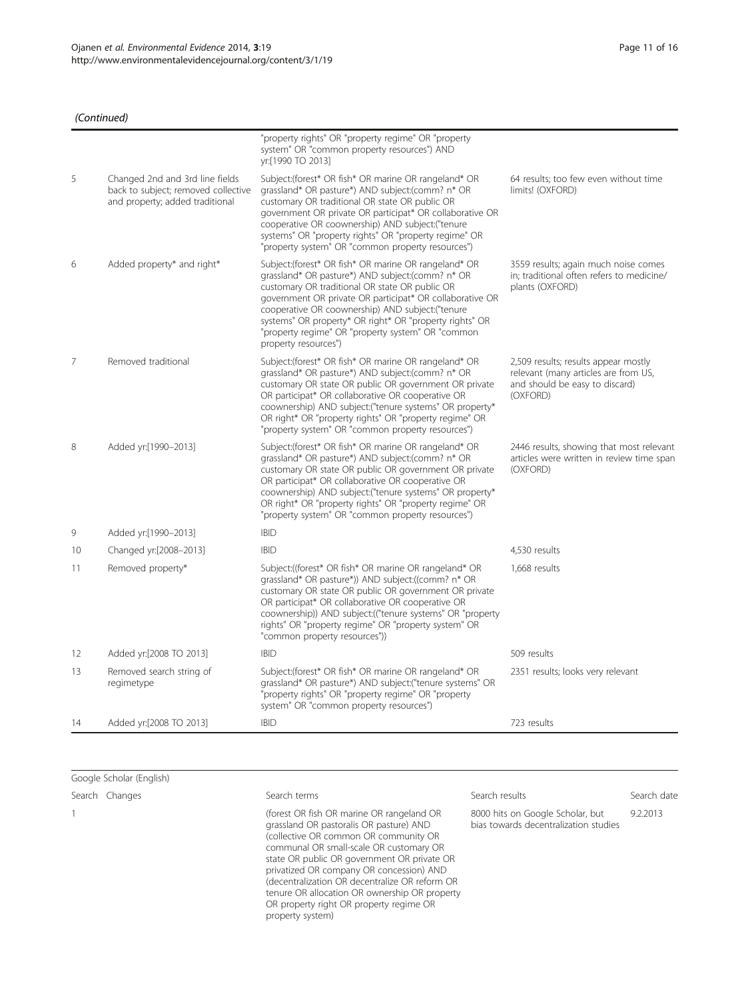## (Continued)

|                |                                                                                                           | "property rights" OR "property regime" OR "property<br>system" OR "common property resources") AND<br>yr:[1990 TO 2013]                                                                                                                                                                                                                                                                                             |                                                                                                                            |
|----------------|-----------------------------------------------------------------------------------------------------------|---------------------------------------------------------------------------------------------------------------------------------------------------------------------------------------------------------------------------------------------------------------------------------------------------------------------------------------------------------------------------------------------------------------------|----------------------------------------------------------------------------------------------------------------------------|
| 5              | Changed 2nd and 3rd line fields<br>back to subject; removed collective<br>and property; added traditional | Subject: (forest* OR fish* OR marine OR rangeland* OR<br>grassland* OR pasture*) AND subject:(comm? n* OR<br>customary OR traditional OR state OR public OR<br>government OR private OR participat* OR collaborative OR<br>cooperative OR coownership) AND subject:("tenure<br>systems" OR "property rights" OR "property regime" OR<br>"property system" OR "common property resources")                           | 64 results; too few even without time<br>limits! (OXFORD)                                                                  |
| 6              | Added property* and right*                                                                                | Subject: (forest* OR fish* OR marine OR rangeland* OR<br>grassland* OR pasture*) AND subject:(comm? n* OR<br>customary OR traditional OR state OR public OR<br>government OR private OR participat* OR collaborative OR<br>cooperative OR coownership) AND subject:("tenure<br>systems" OR property* OR right* OR "property rights" OR<br>"property regime" OR "property system" OR "common<br>property resources") | 3559 results; again much noise comes<br>in; traditional often refers to medicine/<br>plants (OXFORD)                       |
| $\overline{7}$ | Removed traditional                                                                                       | Subject: (forest* OR fish* OR marine OR rangeland* OR<br>grassland* OR pasture*) AND subject:(comm? n* OR<br>customary OR state OR public OR government OR private<br>OR participat* OR collaborative OR cooperative OR<br>coownership) AND subject:("tenure systems" OR property*<br>OR right* OR "property rights" OR "property regime" OR<br>"property system" OR "common property resources")                   | 2,509 results; results appear mostly<br>relevant (many articles are from US,<br>and should be easy to discard)<br>(OXFORD) |
| 8              | Added yr:[1990-2013]                                                                                      | Subject: (forest* OR fish* OR marine OR rangeland* OR<br>grassland* OR pasture*) AND subject:(comm? n* OR<br>customary OR state OR public OR government OR private<br>OR participat* OR collaborative OR cooperative OR<br>coownership) AND subject:("tenure systems" OR property*<br>OR right* OR "property rights" OR "property regime" OR<br>"property system" OR "common property resources")                   | 2446 results, showing that most relevant<br>articles were written in review time span<br>(OXFORD)                          |
| 9              | Added yr:[1990-2013]                                                                                      | <b>IBID</b>                                                                                                                                                                                                                                                                                                                                                                                                         |                                                                                                                            |
| 10             | Changed yr:[2008-2013]                                                                                    | <b>IBID</b>                                                                                                                                                                                                                                                                                                                                                                                                         | 4,530 results                                                                                                              |
| 11             | Removed property*                                                                                         | Subject:((forest* OR fish* OR marine OR rangeland* OR<br>grassland* OR pasture*)) AND subject:((comm? n* OR<br>customary OR state OR public OR government OR private<br>OR participat* OR collaborative OR cooperative OR<br>coownership)) AND subject:(("tenure systems" OR "property<br>rights" OR "property regime" OR "property system" OR<br>"common property resources"))                                     | 1.668 results                                                                                                              |
| 12             | Added yr:[2008 TO 2013]                                                                                   | <b>IBID</b>                                                                                                                                                                                                                                                                                                                                                                                                         | 509 results                                                                                                                |
| 13             | Removed search string of<br>regimetype                                                                    | Subject: (forest* OR fish* OR marine OR rangeland* OR<br>grassland* OR pasture*) AND subject:("tenure systems" OR<br>"property rights" OR "property regime" OR "property<br>system" OR "common property resources")                                                                                                                                                                                                 | 2351 results; looks very relevant                                                                                          |
| 14             | Added yr:[2008 TO 2013]                                                                                   | <b>IBID</b>                                                                                                                                                                                                                                                                                                                                                                                                         | 723 results                                                                                                                |

| Google Scholar (English) |                                                                                                                                                                                                                                                                                                                                                                                                                                       |                                                                           |             |
|--------------------------|---------------------------------------------------------------------------------------------------------------------------------------------------------------------------------------------------------------------------------------------------------------------------------------------------------------------------------------------------------------------------------------------------------------------------------------|---------------------------------------------------------------------------|-------------|
| Search Changes           | Search terms                                                                                                                                                                                                                                                                                                                                                                                                                          | Search results                                                            | Search date |
|                          | (forest OR fish OR marine OR rangeland OR<br>grassland OR pastoralis OR pasture) AND<br>(collective OR common OR community OR<br>communal OR small-scale OR customary OR<br>state OR public OR government OR private OR<br>privatized OR company OR concession) AND<br>(decentralization OR decentralize OR reform OR<br>tenure OR allocation OR ownership OR property<br>OR property right OR property regime OR<br>property system) | 8000 hits on Google Scholar, but<br>bias towards decentralization studies | 9.2.2013    |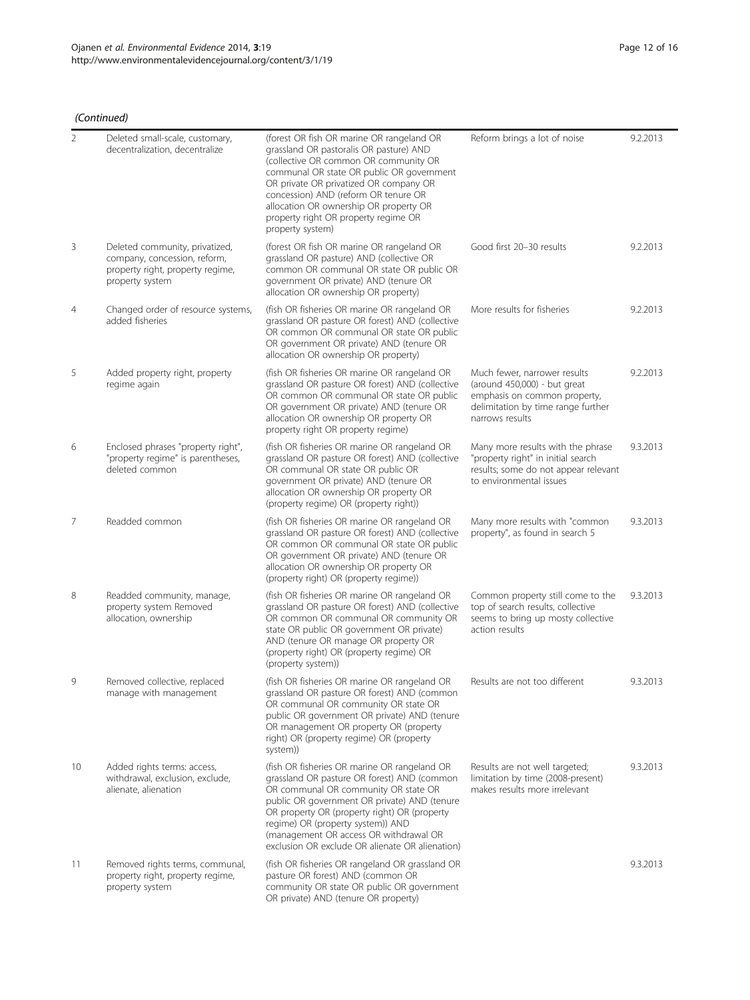## (Continued)

| $\overline{2}$ | Deleted small-scale, customary,<br>decentralization, decentralize                                                     | (forest OR fish OR marine OR rangeland OR<br>grassland OR pastoralis OR pasture) AND<br>(collective OR common OR community OR<br>communal OR state OR public OR government<br>OR private OR privatized OR company OR<br>concession) AND (reform OR tenure OR<br>allocation OR ownership OR property OR<br>property right OR property regime OR<br>property system)    | Reform brings a lot of noise                                                                                                                          | 9.2.2013 |
|----------------|-----------------------------------------------------------------------------------------------------------------------|-----------------------------------------------------------------------------------------------------------------------------------------------------------------------------------------------------------------------------------------------------------------------------------------------------------------------------------------------------------------------|-------------------------------------------------------------------------------------------------------------------------------------------------------|----------|
| 3              | Deleted community, privatized,<br>company, concession, reform,<br>property right, property regime,<br>property system | (forest OR fish OR marine OR rangeland OR<br>grassland OR pasture) AND (collective OR<br>common OR communal OR state OR public OR<br>government OR private) AND (tenure OR<br>allocation OR ownership OR property)                                                                                                                                                    | Good first 20-30 results                                                                                                                              | 9.2.2013 |
| 4              | Changed order of resource systems,<br>added fisheries                                                                 | (fish OR fisheries OR marine OR rangeland OR<br>grassland OR pasture OR forest) AND (collective<br>OR common OR communal OR state OR public<br>OR government OR private) AND (tenure OR<br>allocation OR ownership OR property)                                                                                                                                       | More results for fisheries                                                                                                                            | 9.2.2013 |
| 5              | Added property right, property<br>regime again                                                                        | (fish OR fisheries OR marine OR rangeland OR<br>grassland OR pasture OR forest) AND (collective<br>OR common OR communal OR state OR public<br>OR government OR private) AND (tenure OR<br>allocation OR ownership OR property OR<br>property right OR property regime)                                                                                               | Much fewer, narrower results<br>(around 450,000) - but great<br>emphasis on common property,<br>delimitation by time range further<br>narrows results | 9.2.2013 |
| 6              | Enclosed phrases "property right",<br>"property regime" is parentheses,<br>deleted common                             | (fish OR fisheries OR marine OR rangeland OR<br>grassland OR pasture OR forest) AND (collective<br>OR communal OR state OR public OR<br>government OR private) AND (tenure OR<br>allocation OR ownership OR property OR<br>(property regime) OR (property right))                                                                                                     | Many more results with the phrase<br>"property right" in initial search<br>results; some do not appear relevant<br>to environmental issues            | 9.3.2013 |
| 7              | Readded common                                                                                                        | (fish OR fisheries OR marine OR rangeland OR<br>grassland OR pasture OR forest) AND (collective<br>OR common OR communal OR state OR public<br>OR government OR private) AND (tenure OR<br>allocation OR ownership OR property OR<br>(property right) OR (property regime))                                                                                           | Many more results with "common"<br>property", as found in search 5                                                                                    | 9.3.2013 |
| 8              | Readded community, manage,<br>property system Removed<br>allocation, ownership                                        | (fish OR fisheries OR marine OR rangeland OR<br>grassland OR pasture OR forest) AND (collective<br>OR common OR communal OR community OR<br>state OR public OR government OR private)<br>AND (tenure OR manage OR property OR<br>(property right) OR (property regime) OR<br>(property system))                                                                       | Common property still come to the<br>top of search results, collective<br>seems to bring up mosty collective<br>action results                        | 9.3.2013 |
| 9              | Removed collective, replaced<br>manage with management                                                                | (fish OR fisheries OR marine OR rangeland OR<br>grassland OR pasture OR forest) AND (common<br>OR communal OR community OR state OR<br>public OR government OR private) AND (tenure<br>OR management OR property OR (property<br>right) OR (property regime) OR (property<br>system))                                                                                 | Results are not too different                                                                                                                         | 9.3.2013 |
| 10             | Added rights terms: access,<br>withdrawal, exclusion, exclude,<br>alienate, alienation                                | (fish OR fisheries OR marine OR rangeland OR<br>grassland OR pasture OR forest) AND (common<br>OR communal OR community OR state OR<br>public OR government OR private) AND (tenure<br>OR property OR (property right) OR (property<br>regime) OR (property system)) AND<br>(management OR access OR withdrawal OR<br>exclusion OR exclude OR alienate OR alienation) | Results are not well targeted;<br>limitation by time (2008-present)<br>makes results more irrelevant                                                  | 9.3.2013 |
| 11             | Removed rights terms, communal,<br>property right, property regime,<br>property system                                | (fish OR fisheries OR rangeland OR grassland OR<br>pasture OR forest) AND (common OR<br>community OR state OR public OR government<br>OR private) AND (tenure OR property)                                                                                                                                                                                            |                                                                                                                                                       | 9.3.2013 |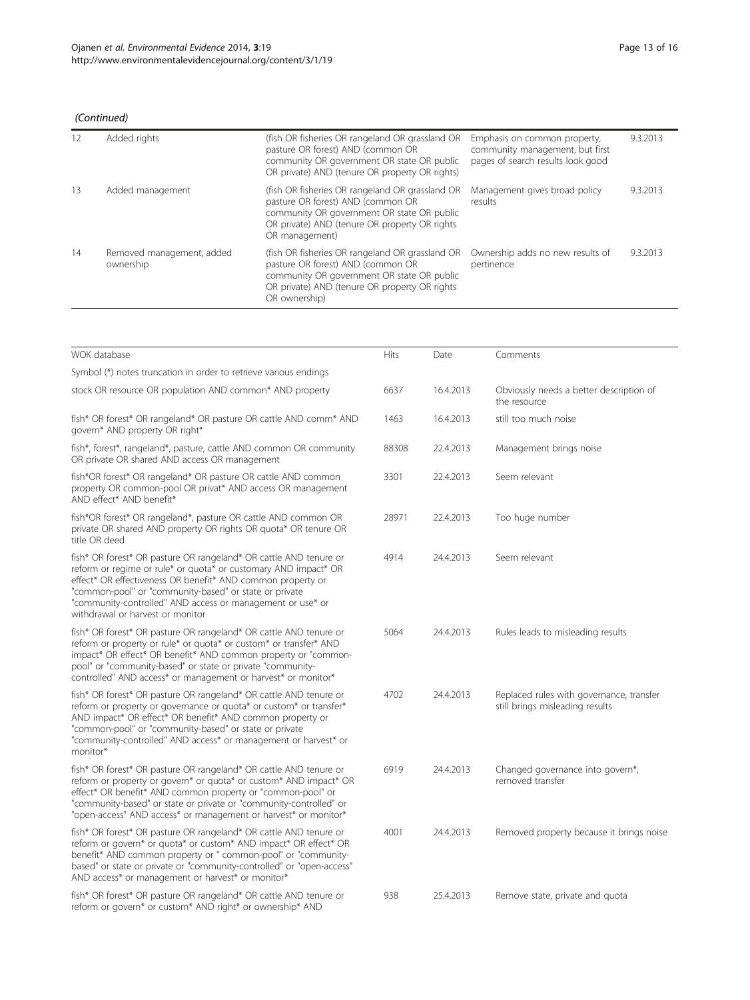|    | Added rights                           | (fish OR fisheries OR rangeland OR grassland OR<br>pasture OR forest) AND (common OR<br>community OR government OR state OR public<br>OR private) AND (tenure OR property OR rights)                  | Emphasis on common property,<br>community management, but first<br>pages of search results look good | 9.3.2013 |
|----|----------------------------------------|-------------------------------------------------------------------------------------------------------------------------------------------------------------------------------------------------------|------------------------------------------------------------------------------------------------------|----------|
| 13 | Added management                       | (fish OR fisheries OR rangeland OR grassland OR<br>pasture OR forest) AND (common OR<br>community OR government OR state OR public<br>OR private) AND (tenure OR property OR rights<br>OR management) | Management gives broad policy<br>results                                                             | 9.3.2013 |
| 14 | Removed management, added<br>ownership | (fish OR fisheries OR rangeland OR grassland OR<br>pasture OR forest) AND (common OR<br>community OR government OR state OR public<br>OR private) AND (tenure OR property OR rights<br>OR ownership)  | Ownership adds no new results of<br>pertinence                                                       | 9.3.2013 |

| WOK database                                                                                                                                                                                                                                                                                                                                                    | <b>Hits</b> | Date      | Comments                                                                    |
|-----------------------------------------------------------------------------------------------------------------------------------------------------------------------------------------------------------------------------------------------------------------------------------------------------------------------------------------------------------------|-------------|-----------|-----------------------------------------------------------------------------|
| Symbol (*) notes truncation in order to retrieve various endings                                                                                                                                                                                                                                                                                                |             |           |                                                                             |
| stock OR resource OR population AND common* AND property                                                                                                                                                                                                                                                                                                        | 6637        | 16.4.2013 | Obviously needs a better description of<br>the resource                     |
| fish* OR forest* OR rangeland* OR pasture OR cattle AND comm* AND<br>govern* AND property OR right*                                                                                                                                                                                                                                                             | 1463        | 16.4.2013 | still too much noise                                                        |
| fish*, forest*, rangeland*, pasture, cattle AND common OR community<br>OR private OR shared AND access OR management                                                                                                                                                                                                                                            | 88308       | 22.4.2013 | Management brings noise                                                     |
| fish*OR forest* OR rangeland* OR pasture OR cattle AND common<br>property OR common-pool OR privat* AND access OR management<br>AND effect* AND benefit*                                                                                                                                                                                                        | 3301        | 22.4.2013 | Seem relevant                                                               |
| fish*OR forest* OR rangeland*, pasture OR cattle AND common OR<br>private OR shared AND property OR rights OR quota* OR tenure OR<br>title OR deed                                                                                                                                                                                                              | 28971       | 22.4.2013 | Too huge number                                                             |
| fish* OR forest* OR pasture OR rangeland* OR cattle AND tenure or<br>reform or regime or rule* or guota* or customary AND impact* OR<br>effect* OR effectiveness OR benefit* AND common property or<br>"common-pool" or "community-based" or state or private<br>"community-controlled" AND access or management or use* or<br>withdrawal or harvest or monitor | 4914        | 24.4.2013 | Seem relevant                                                               |
| fish* OR forest* OR pasture OR rangeland* OR cattle AND tenure or<br>reform or property or rule* or quota* or custom* or transfer* AND<br>impact* OR effect* OR benefit* AND common property or "common-<br>pool" or "community-based" or state or private "community-<br>controlled" AND access* or management or harvest* or monitor*                         | 5064        | 24.4.2013 | Rules leads to misleading results                                           |
| fish* OR forest* OR pasture OR rangeland* OR cattle AND tenure or<br>reform or property or governance or quota* or custom* or transfer*<br>AND impact* OR effect* OR benefit* AND common property or<br>"common-pool" or "community-based" or state or private<br>"community-controlled" AND access* or management or harvest* or<br>monitor*                   | 4702        | 24.4.2013 | Replaced rules with governance, transfer<br>still brings misleading results |
| fish* OR forest* OR pasture OR rangeland* OR cattle AND tenure or<br>reform or property or govern* or quota* or custom* AND impact* OR<br>effect* OR benefit* AND common property or "common-pool" or<br>"community-based" or state or private or "community-controlled" or<br>"open-access" AND access* or management or harvest* or monitor*                  | 6919        | 24.4.2013 | Changed governance into govern*,<br>removed transfer                        |
| fish* OR forest* OR pasture OR rangeland* OR cattle AND tenure or<br>reform or govern* or quota* or custom* AND impact* OR effect* OR<br>benefit* AND common property or " common-pool" or "community-<br>based" or state or private or "community-controlled" or "open-access"<br>AND access* or management or harvest* or monitor*                            | 4001        | 24.4.2013 | Removed property because it brings noise                                    |
| fish* OR forest* OR pasture OR rangeland* OR cattle AND tenure or<br>reform or govern* or custom* AND right* or ownership* AND                                                                                                                                                                                                                                  | 938         | 25.4.2013 | Remove state, private and quota                                             |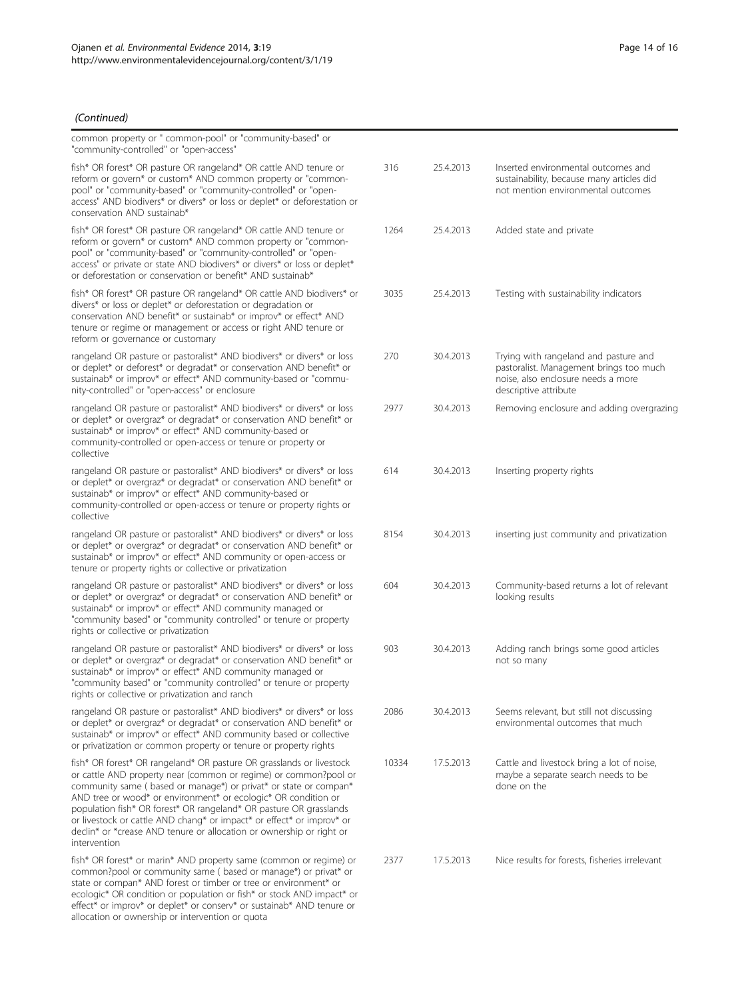effect\* or improv\* or deplet\* or conserv\* or sustainab\* AND tenure or

allocation or ownership or intervention or quota

## (Continued)

| common property or " common-pool" or "community-based" or<br>"community-controlled" or "open-access"                                                                                                                                                                                                                                                                                                                                                                                                                   |       |           |                                                                                                                                                 |
|------------------------------------------------------------------------------------------------------------------------------------------------------------------------------------------------------------------------------------------------------------------------------------------------------------------------------------------------------------------------------------------------------------------------------------------------------------------------------------------------------------------------|-------|-----------|-------------------------------------------------------------------------------------------------------------------------------------------------|
| fish* OR forest* OR pasture OR rangeland* OR cattle AND tenure or<br>reform or govern* or custom* AND common property or "common-<br>pool" or "community-based" or "community-controlled" or "open-<br>access" AND biodivers* or divers* or loss or deplet* or deforestation or<br>conservation AND sustainab*                                                                                                                                                                                                         | 316   | 25.4.2013 | Inserted environmental outcomes and<br>sustainability, because many articles did<br>not mention environmental outcomes                          |
| fish* OR forest* OR pasture OR rangeland* OR cattle AND tenure or<br>reform or govern* or custom* AND common property or "common-<br>pool" or "community-based" or "community-controlled" or "open-<br>access" or private or state AND biodivers* or divers* or loss or deplet*<br>or deforestation or conservation or benefit* AND sustainab*                                                                                                                                                                         | 1264  | 25.4.2013 | Added state and private                                                                                                                         |
| fish* OR forest* OR pasture OR rangeland* OR cattle AND biodivers* or<br>divers* or loss or deplet* or deforestation or degradation or<br>conservation AND benefit* or sustainab* or improv* or effect* AND<br>tenure or regime or management or access or right AND tenure or<br>reform or governance or customary                                                                                                                                                                                                    | 3035  | 25.4.2013 | Testing with sustainability indicators                                                                                                          |
| rangeland OR pasture or pastoralist* AND biodivers* or divers* or loss<br>or deplet* or deforest* or degradat* or conservation AND benefit* or<br>sustainab* or improv* or effect* AND community-based or "commu-<br>nity-controlled" or "open-access" or enclosure                                                                                                                                                                                                                                                    | 270   | 30.4.2013 | Trying with rangeland and pasture and<br>pastoralist. Management brings too much<br>noise, also enclosure needs a more<br>descriptive attribute |
| rangeland OR pasture or pastoralist* AND biodivers* or divers* or loss<br>or deplet* or overgraz* or degradat* or conservation AND benefit* or<br>sustainab* or improv* or effect* AND community-based or<br>community-controlled or open-access or tenure or property or<br>collective                                                                                                                                                                                                                                | 2977  | 30.4.2013 | Removing enclosure and adding overgrazing                                                                                                       |
| rangeland OR pasture or pastoralist* AND biodivers* or divers* or loss<br>or deplet* or overgraz* or degradat* or conservation AND benefit* or<br>sustainab* or improv* or effect* AND community-based or<br>community-controlled or open-access or tenure or property rights or<br>collective                                                                                                                                                                                                                         | 614   | 30.4.2013 | Inserting property rights                                                                                                                       |
| rangeland OR pasture or pastoralist* AND biodivers* or divers* or loss<br>or deplet* or overgraz* or degradat* or conservation AND benefit* or<br>sustainab* or improv* or effect* AND community or open-access or<br>tenure or property rights or collective or privatization                                                                                                                                                                                                                                         | 8154  | 30.4.2013 | inserting just community and privatization                                                                                                      |
| rangeland OR pasture or pastoralist* AND biodivers* or divers* or loss<br>or deplet* or overgraz* or degradat* or conservation AND benefit* or<br>sustainab* or improv* or effect* AND community managed or<br>"community based" or "community controlled" or tenure or property<br>rights or collective or privatization                                                                                                                                                                                              | 604   | 30.4.2013 | Community-based returns a lot of relevant<br>looking results                                                                                    |
| rangeland OR pasture or pastoralist* AND biodivers* or divers* or loss<br>or deplet* or overgraz* or degradat* or conservation AND benefit* or<br>sustainab* or improv* or effect* AND community managed or<br>"community based" or "community controlled" or tenure or property<br>rights or collective or privatization and ranch                                                                                                                                                                                    | 903   | 30.4.2013 | Adding ranch brings some good articles<br>not so many                                                                                           |
| rangeland OR pasture or pastoralist* AND biodivers* or divers* or loss<br>or deplet* or overgraz* or degradat* or conservation AND benefit* or<br>sustainab* or improv* or effect* AND community based or collective<br>or privatization or common property or tenure or property rights                                                                                                                                                                                                                               | 2086  | 30.4.2013 | Seems relevant, but still not discussing<br>environmental outcomes that much                                                                    |
| fish* OR forest* OR rangeland* OR pasture OR grasslands or livestock<br>or cattle AND property near (common or regime) or common?pool or<br>community same ( based or manage*) or privat* or state or compan*<br>AND tree or wood* or environment* or ecologic* OR condition or<br>population fish* OR forest* OR rangeland* OR pasture OR grasslands<br>or livestock or cattle AND chang* or impact* or effect* or improv* or<br>declin* or *crease AND tenure or allocation or ownership or right or<br>intervention | 10334 | 17.5.2013 | Cattle and livestock bring a lot of noise,<br>maybe a separate search needs to be<br>done on the                                                |
| fish* OR forest* or marin* AND property same (common or regime) or<br>common?pool or community same ( based or manage*) or privat* or<br>state or compan* AND forest or timber or tree or environment* or<br>ecologic* OR condition or population or fish* or stock AND impact* or                                                                                                                                                                                                                                     | 2377  | 17.5.2013 | Nice results for forests, fisheries irrelevant                                                                                                  |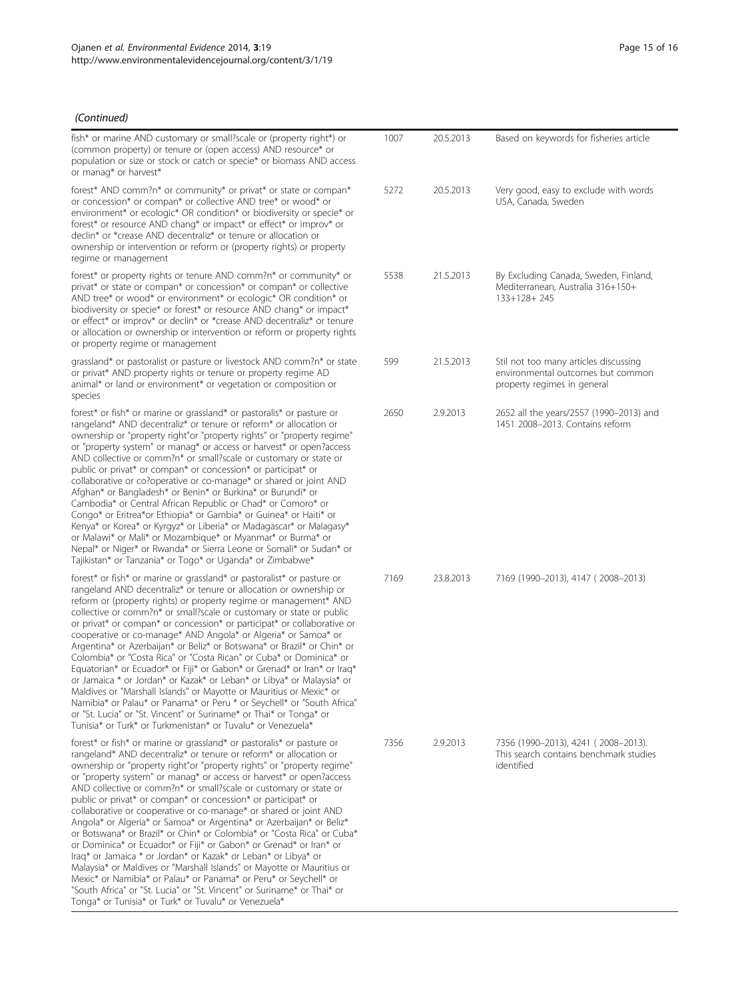## (Continued)

| fish* or marine AND customary or small?scale or (property right*) or<br>(common property) or tenure or (open access) AND resource* or<br>population or size or stock or catch or specie* or biomass AND access<br>or manag* or harvest*                                                                                                                                                                                                                                                                                                                                                                                                                                                                                                                                                                                                                                                                                                                                                                                                                                           | 1007 | 20.5.2013 | Based on keywords for fisheries article                                                                   |
|-----------------------------------------------------------------------------------------------------------------------------------------------------------------------------------------------------------------------------------------------------------------------------------------------------------------------------------------------------------------------------------------------------------------------------------------------------------------------------------------------------------------------------------------------------------------------------------------------------------------------------------------------------------------------------------------------------------------------------------------------------------------------------------------------------------------------------------------------------------------------------------------------------------------------------------------------------------------------------------------------------------------------------------------------------------------------------------|------|-----------|-----------------------------------------------------------------------------------------------------------|
| forest* AND comm?n* or community* or privat* or state or compan*<br>or concession* or compan* or collective AND tree* or wood* or<br>environment* or ecologic* OR condition* or biodiversity or specie* or<br>forest* or resource AND chang* or impact* or effect* or improv* or<br>declin* or *crease AND decentraliz* or tenure or allocation or<br>ownership or intervention or reform or (property rights) or property<br>regime or management                                                                                                                                                                                                                                                                                                                                                                                                                                                                                                                                                                                                                                | 5272 | 20.5.2013 | Very good, easy to exclude with words<br>USA, Canada, Sweden                                              |
| forest* or property rights or tenure AND comm?n* or community* or<br>privat* or state or compan* or concession* or compan* or collective<br>AND tree* or wood* or environment* or ecologic* OR condition* or<br>biodiversity or specie* or forest* or resource AND chang* or impact*<br>or effect* or improv* or declin* or *crease AND decentraliz* or tenure<br>or allocation or ownership or intervention or reform or property rights<br>or property regime or management                                                                                                                                                                                                                                                                                                                                                                                                                                                                                                                                                                                                     | 5538 | 21.5.2013 | By Excluding Canada, Sweden, Finland,<br>Mediterranean, Australia 316+150+<br>133+128+245                 |
| grassland* or pastoralist or pasture or livestock AND comm?n* or state<br>or privat* AND property rights or tenure or property regime AD<br>animal* or land or environment* or vegetation or composition or<br>species                                                                                                                                                                                                                                                                                                                                                                                                                                                                                                                                                                                                                                                                                                                                                                                                                                                            | 599  | 21.5.2013 | Stil not too many articles discussing<br>environmental outcomes but common<br>property regimes in general |
| forest* or fish* or marine or grassland* or pastoralis* or pasture or<br>rangeland* AND decentraliz* or tenure or reform* or allocation or<br>ownership or "property right"or "property rights" or "property regime"<br>or "property system" or manag* or access or harvest* or open?access<br>AND collective or comm?n* or small?scale or customary or state or<br>public or privat* or compan* or concession* or participat* or<br>collaborative or co?operative or co-manage* or shared or joint AND<br>Afghan* or Bangladesh* or Benin* or Burkina* or Burundi* or<br>Cambodia* or Central African Republic or Chad* or Comoro* or<br>Congo* or Eritrea*or Ethiopia* or Gambia* or Guinea* or Haiti* or<br>Kenya* or Korea* or Kyrgyz* or Liberia* or Madagascar* or Malagasy*<br>or Malawi* or Mali* or Mozambique* or Myanmar* or Burma* or<br>Nepal* or Niger* or Rwanda* or Sierra Leone or Somali* or Sudan* or<br>Tajikistan* or Tanzania* or Togo* or Uganda* or Zimbabwe*                                                                                             | 2650 | 2.9.2013  | 2652 all the years/2557 (1990-2013) and<br>1451 2008-2013. Contains reform                                |
| forest* or fish* or marine or grassland* or pastoralist* or pasture or<br>rangeland AND decentraliz <sup>*</sup> or tenure or allocation or ownership or<br>reform or (property rights) or property regime or management* AND<br>collective or comm?n <sup>*</sup> or small?scale or customary or state or public<br>or privat* or compan* or concession* or participat* or collaborative or<br>cooperative or co-manage* AND Angola* or Algeria* or Samoa* or<br>Argentina* or Azerbaijan* or Beliz* or Botswana* or Brazil* or Chin* or<br>Colombia* or "Costa Rica" or "Costa Rican" or Cuba* or Dominica* or<br>Equatorian* or Ecuador* or Fiji* or Gabon* or Grenad* or Iran* or Iraq*<br>or Jamaica * or Jordan* or Kazak* or Leban* or Libya* or Malaysia* or<br>Maldives or "Marshall Islands" or Mayotte or Mauritius or Mexic* or<br>Namibia* or Palau* or Panama* or Peru * or Seychell* or "South Africa"<br>or "St. Lucia" or "St. Vincent" or Suriname* or Thai* or Tonga* or<br>Tunisia* or Turk* or Turkmenistan* or Tuvalu* or Venezuela*                        | 7169 | 23.8.2013 | 7169 (1990–2013), 4147 (2008–2013)                                                                        |
| forest* or fish* or marine or grassland* or pastoralis* or pasture or<br>rangeland* AND decentraliz* or tenure or reform* or allocation or<br>ownership or "property right"or "property rights" or "property regime"<br>or "property system" or manag* or access or harvest* or open?access<br>AND collective or comm?n* or small?scale or customary or state or<br>public or privat* or compan* or concession* or participat* or<br>collaborative or cooperative or co-manage* or shared or joint AND<br>Angola* or Algeria* or Samoa* or Argentina* or Azerbaijan* or Beliz*<br>or Botswana* or Brazil* or Chin* or Colombia* or "Costa Rica" or Cuba*<br>or Dominica* or Ecuador* or Fiji* or Gabon* or Grenad* or Iran* or<br>Iraq* or Jamaica * or Jordan* or Kazak* or Leban* or Libya* or<br>Malaysia* or Maldives or "Marshall Islands" or Mayotte or Mauritius or<br>Mexic* or Namibia* or Palau* or Panama* or Peru* or Seychell* or<br>"South Africa" or "St. Lucia" or "St. Vincent" or Suriname* or Thai* or<br>Tonga* or Tunisia* or Turk* or Tuvalu* or Venezuela* | 7356 | 2.9.2013  | 7356 (1990-2013), 4241 (2008-2013).<br>This search contains benchmark studies<br>identified               |